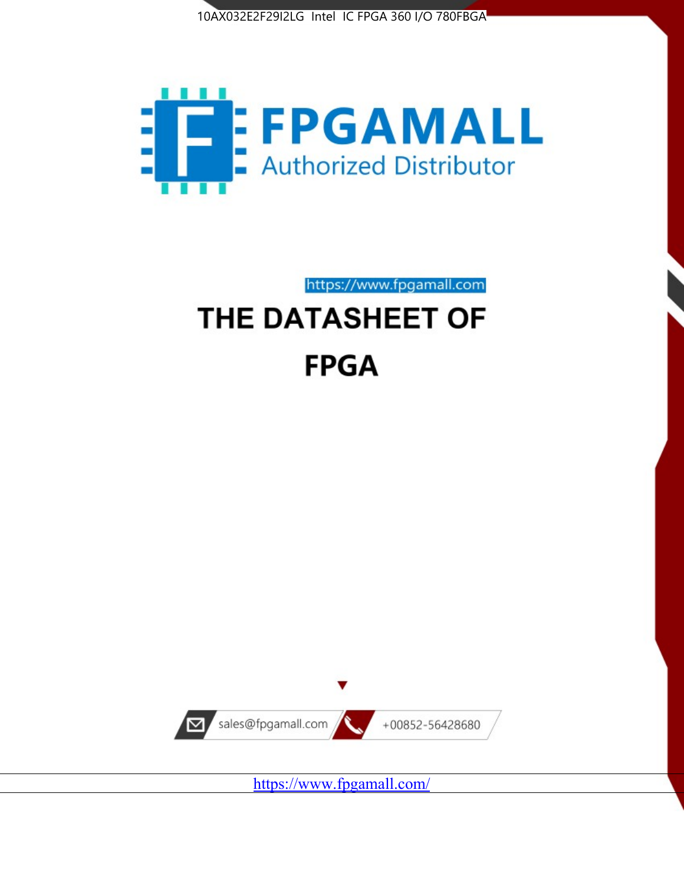



https://www.fpgamall.com

# THE DATASHEET OF **FPGA**



<https://www.fpgamall.com/>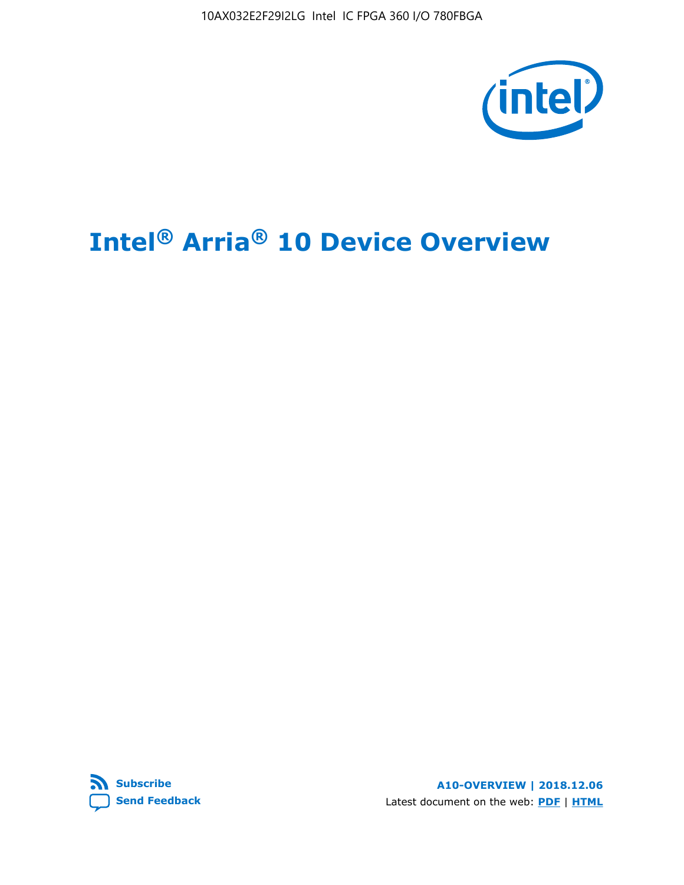10AX032E2F29I2LG Intel IC FPGA 360 I/O 780FBGA



# **Intel® Arria® 10 Device Overview**



**A10-OVERVIEW | 2018.12.06** Latest document on the web: **[PDF](https://www.intel.com/content/dam/www/programmable/us/en/pdfs/literature/hb/arria-10/a10_overview.pdf)** | **[HTML](https://www.intel.com/content/www/us/en/programmable/documentation/sam1403480274650.html)**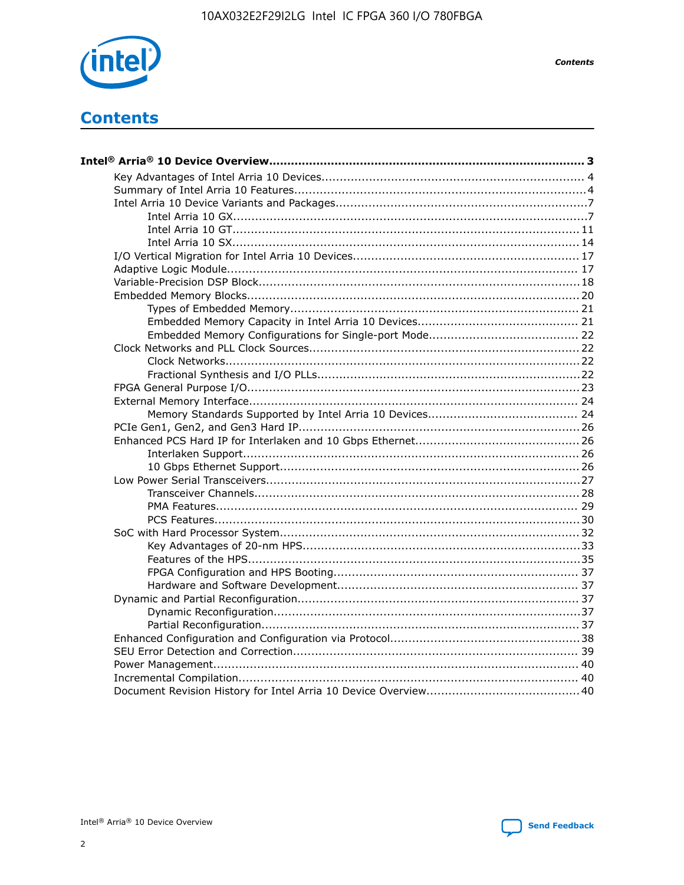

**Contents** 



**Contents**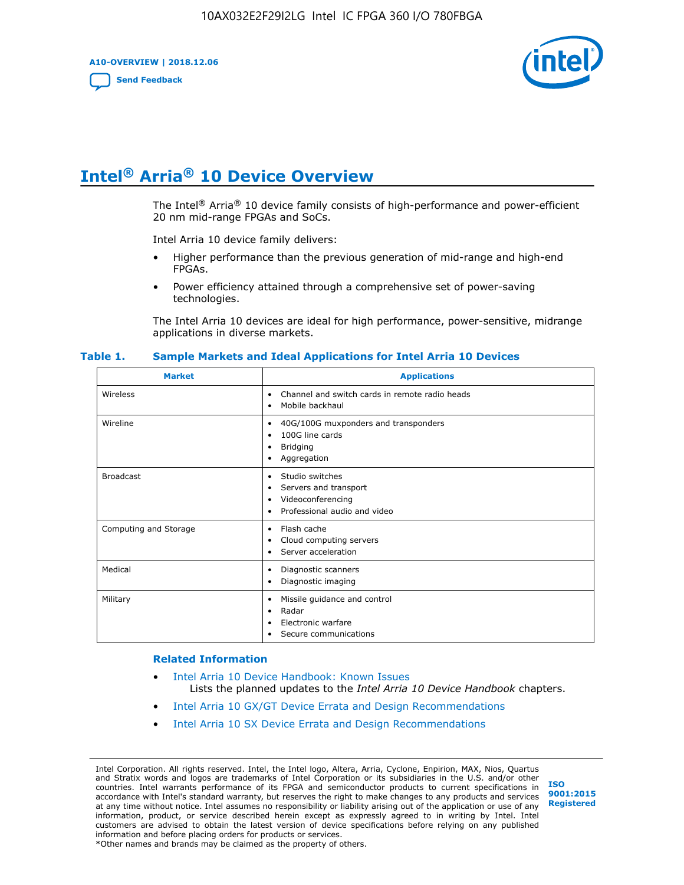**A10-OVERVIEW | 2018.12.06**

**[Send Feedback](mailto:FPGAtechdocfeedback@intel.com?subject=Feedback%20on%20Intel%20Arria%2010%20Device%20Overview%20(A10-OVERVIEW%202018.12.06)&body=We%20appreciate%20your%20feedback.%20In%20your%20comments,%20also%20specify%20the%20page%20number%20or%20paragraph.%20Thank%20you.)**



# **Intel® Arria® 10 Device Overview**

The Intel<sup>®</sup> Arria<sup>®</sup> 10 device family consists of high-performance and power-efficient 20 nm mid-range FPGAs and SoCs.

Intel Arria 10 device family delivers:

- Higher performance than the previous generation of mid-range and high-end FPGAs.
- Power efficiency attained through a comprehensive set of power-saving technologies.

The Intel Arria 10 devices are ideal for high performance, power-sensitive, midrange applications in diverse markets.

| <b>Market</b>         | <b>Applications</b>                                                                                               |
|-----------------------|-------------------------------------------------------------------------------------------------------------------|
| Wireless              | Channel and switch cards in remote radio heads<br>٠<br>Mobile backhaul<br>٠                                       |
| Wireline              | 40G/100G muxponders and transponders<br>٠<br>100G line cards<br>٠<br><b>Bridging</b><br>٠<br>Aggregation<br>٠     |
| <b>Broadcast</b>      | Studio switches<br>٠<br>Servers and transport<br>٠<br>Videoconferencing<br>٠<br>Professional audio and video<br>٠ |
| Computing and Storage | Flash cache<br>٠<br>Cloud computing servers<br>٠<br>Server acceleration<br>٠                                      |
| Medical               | Diagnostic scanners<br>٠<br>Diagnostic imaging<br>٠                                                               |
| Military              | Missile guidance and control<br>٠<br>Radar<br>٠<br>Electronic warfare<br>٠<br>Secure communications<br>٠          |

#### **Table 1. Sample Markets and Ideal Applications for Intel Arria 10 Devices**

#### **Related Information**

- [Intel Arria 10 Device Handbook: Known Issues](http://www.altera.com/support/kdb/solutions/rd07302013_646.html) Lists the planned updates to the *Intel Arria 10 Device Handbook* chapters.
- [Intel Arria 10 GX/GT Device Errata and Design Recommendations](https://www.intel.com/content/www/us/en/programmable/documentation/agz1493851706374.html#yqz1494433888646)
- [Intel Arria 10 SX Device Errata and Design Recommendations](https://www.intel.com/content/www/us/en/programmable/documentation/cru1462832385668.html#cru1462832558642)

Intel Corporation. All rights reserved. Intel, the Intel logo, Altera, Arria, Cyclone, Enpirion, MAX, Nios, Quartus and Stratix words and logos are trademarks of Intel Corporation or its subsidiaries in the U.S. and/or other countries. Intel warrants performance of its FPGA and semiconductor products to current specifications in accordance with Intel's standard warranty, but reserves the right to make changes to any products and services at any time without notice. Intel assumes no responsibility or liability arising out of the application or use of any information, product, or service described herein except as expressly agreed to in writing by Intel. Intel customers are advised to obtain the latest version of device specifications before relying on any published information and before placing orders for products or services. \*Other names and brands may be claimed as the property of others.

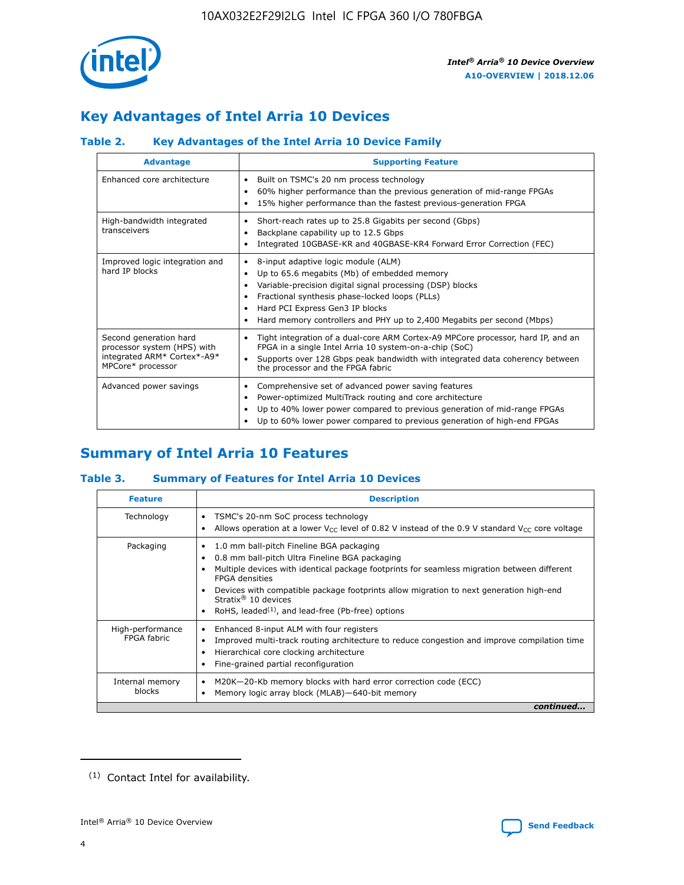

# **Key Advantages of Intel Arria 10 Devices**

# **Table 2. Key Advantages of the Intel Arria 10 Device Family**

| <b>Advantage</b>                                                                                          | <b>Supporting Feature</b>                                                                                                                                                                                                                                                                                                |
|-----------------------------------------------------------------------------------------------------------|--------------------------------------------------------------------------------------------------------------------------------------------------------------------------------------------------------------------------------------------------------------------------------------------------------------------------|
| Enhanced core architecture                                                                                | Built on TSMC's 20 nm process technology<br>٠<br>60% higher performance than the previous generation of mid-range FPGAs<br>٠<br>15% higher performance than the fastest previous-generation FPGA<br>٠                                                                                                                    |
| High-bandwidth integrated<br>transceivers                                                                 | Short-reach rates up to 25.8 Gigabits per second (Gbps)<br>٠<br>Backplane capability up to 12.5 Gbps<br>٠<br>Integrated 10GBASE-KR and 40GBASE-KR4 Forward Error Correction (FEC)<br>٠                                                                                                                                   |
| Improved logic integration and<br>hard IP blocks                                                          | 8-input adaptive logic module (ALM)<br>٠<br>Up to 65.6 megabits (Mb) of embedded memory<br>٠<br>Variable-precision digital signal processing (DSP) blocks<br>Fractional synthesis phase-locked loops (PLLs)<br>Hard PCI Express Gen3 IP blocks<br>Hard memory controllers and PHY up to 2,400 Megabits per second (Mbps) |
| Second generation hard<br>processor system (HPS) with<br>integrated ARM* Cortex*-A9*<br>MPCore* processor | Tight integration of a dual-core ARM Cortex-A9 MPCore processor, hard IP, and an<br>٠<br>FPGA in a single Intel Arria 10 system-on-a-chip (SoC)<br>Supports over 128 Gbps peak bandwidth with integrated data coherency between<br>$\bullet$<br>the processor and the FPGA fabric                                        |
| Advanced power savings                                                                                    | Comprehensive set of advanced power saving features<br>٠<br>Power-optimized MultiTrack routing and core architecture<br>٠<br>Up to 40% lower power compared to previous generation of mid-range FPGAs<br>٠<br>Up to 60% lower power compared to previous generation of high-end FPGAs                                    |

# **Summary of Intel Arria 10 Features**

## **Table 3. Summary of Features for Intel Arria 10 Devices**

| <b>Feature</b>                  | <b>Description</b>                                                                                                                                                                                                                                                                                                                                                                                       |
|---------------------------------|----------------------------------------------------------------------------------------------------------------------------------------------------------------------------------------------------------------------------------------------------------------------------------------------------------------------------------------------------------------------------------------------------------|
| Technology                      | TSMC's 20-nm SoC process technology<br>٠<br>Allows operation at a lower $V_{\text{CC}}$ level of 0.82 V instead of the 0.9 V standard $V_{\text{CC}}$ core voltage                                                                                                                                                                                                                                       |
| Packaging                       | 1.0 mm ball-pitch Fineline BGA packaging<br>0.8 mm ball-pitch Ultra Fineline BGA packaging<br>Multiple devices with identical package footprints for seamless migration between different<br><b>FPGA</b> densities<br>Devices with compatible package footprints allow migration to next generation high-end<br>Stratix $\mathcal{R}$ 10 devices<br>RoHS, leaded $(1)$ , and lead-free (Pb-free) options |
| High-performance<br>FPGA fabric | Enhanced 8-input ALM with four registers<br>٠<br>Improved multi-track routing architecture to reduce congestion and improve compilation time<br>Hierarchical core clocking architecture<br>Fine-grained partial reconfiguration                                                                                                                                                                          |
| Internal memory<br>blocks       | M20K-20-Kb memory blocks with hard error correction code (ECC)<br>Memory logic array block (MLAB)-640-bit memory                                                                                                                                                                                                                                                                                         |
|                                 | continued                                                                                                                                                                                                                                                                                                                                                                                                |



<sup>(1)</sup> Contact Intel for availability.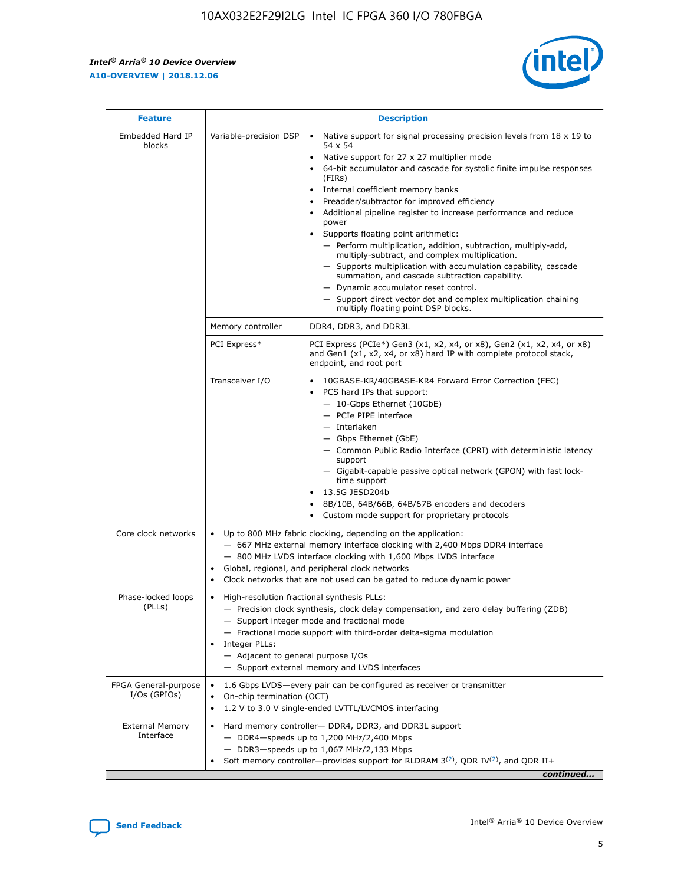$\mathsf{r}$ 



| <b>Feature</b>                         |                                                                                                                | <b>Description</b>                                                                                                                                                                                                                                                                                                                                                                                                                                                                                                                                                                                                                                                                                                                                                                                                                          |
|----------------------------------------|----------------------------------------------------------------------------------------------------------------|---------------------------------------------------------------------------------------------------------------------------------------------------------------------------------------------------------------------------------------------------------------------------------------------------------------------------------------------------------------------------------------------------------------------------------------------------------------------------------------------------------------------------------------------------------------------------------------------------------------------------------------------------------------------------------------------------------------------------------------------------------------------------------------------------------------------------------------------|
| Embedded Hard IP<br>blocks             | Variable-precision DSP                                                                                         | Native support for signal processing precision levels from $18 \times 19$ to<br>$\bullet$<br>54 x 54<br>Native support for 27 x 27 multiplier mode<br>64-bit accumulator and cascade for systolic finite impulse responses<br>(FIRS)<br>Internal coefficient memory banks<br>٠<br>Preadder/subtractor for improved efficiency<br>Additional pipeline register to increase performance and reduce<br>power<br>Supports floating point arithmetic:<br>- Perform multiplication, addition, subtraction, multiply-add,<br>multiply-subtract, and complex multiplication.<br>- Supports multiplication with accumulation capability, cascade<br>summation, and cascade subtraction capability.<br>- Dynamic accumulator reset control.<br>- Support direct vector dot and complex multiplication chaining<br>multiply floating point DSP blocks. |
|                                        | Memory controller                                                                                              | DDR4, DDR3, and DDR3L                                                                                                                                                                                                                                                                                                                                                                                                                                                                                                                                                                                                                                                                                                                                                                                                                       |
|                                        | PCI Express*                                                                                                   | PCI Express (PCIe*) Gen3 (x1, x2, x4, or x8), Gen2 (x1, x2, x4, or x8)<br>and Gen1 (x1, x2, x4, or x8) hard IP with complete protocol stack,<br>endpoint, and root port                                                                                                                                                                                                                                                                                                                                                                                                                                                                                                                                                                                                                                                                     |
|                                        | Transceiver I/O                                                                                                | 10GBASE-KR/40GBASE-KR4 Forward Error Correction (FEC)<br>PCS hard IPs that support:<br>- 10-Gbps Ethernet (10GbE)<br>- PCIe PIPE interface<br>- Interlaken<br>- Gbps Ethernet (GbE)<br>- Common Public Radio Interface (CPRI) with deterministic latency<br>support<br>- Gigabit-capable passive optical network (GPON) with fast lock-<br>time support<br>13.5G JESD204b<br>8B/10B, 64B/66B, 64B/67B encoders and decoders<br>Custom mode support for proprietary protocols                                                                                                                                                                                                                                                                                                                                                                |
| Core clock networks                    | $\bullet$                                                                                                      | Up to 800 MHz fabric clocking, depending on the application:<br>- 667 MHz external memory interface clocking with 2,400 Mbps DDR4 interface<br>- 800 MHz LVDS interface clocking with 1,600 Mbps LVDS interface<br>Global, regional, and peripheral clock networks<br>Clock networks that are not used can be gated to reduce dynamic power                                                                                                                                                                                                                                                                                                                                                                                                                                                                                                 |
| Phase-locked loops<br>(PLLs)           | High-resolution fractional synthesis PLLs:<br>$\bullet$<br>Integer PLLs:<br>- Adjacent to general purpose I/Os | - Precision clock synthesis, clock delay compensation, and zero delay buffering (ZDB)<br>- Support integer mode and fractional mode<br>- Fractional mode support with third-order delta-sigma modulation<br>- Support external memory and LVDS interfaces                                                                                                                                                                                                                                                                                                                                                                                                                                                                                                                                                                                   |
| FPGA General-purpose<br>$I/Os$ (GPIOs) | On-chip termination (OCT)<br>$\bullet$                                                                         | 1.6 Gbps LVDS-every pair can be configured as receiver or transmitter<br>1.2 V to 3.0 V single-ended LVTTL/LVCMOS interfacing                                                                                                                                                                                                                                                                                                                                                                                                                                                                                                                                                                                                                                                                                                               |
| <b>External Memory</b><br>Interface    |                                                                                                                | Hard memory controller- DDR4, DDR3, and DDR3L support<br>$-$ DDR4 $-$ speeds up to 1,200 MHz/2,400 Mbps<br>- DDR3-speeds up to 1,067 MHz/2,133 Mbps<br>Soft memory controller—provides support for RLDRAM $3^{(2)}$ , QDR IV $(2)$ , and QDR II+<br>continued                                                                                                                                                                                                                                                                                                                                                                                                                                                                                                                                                                               |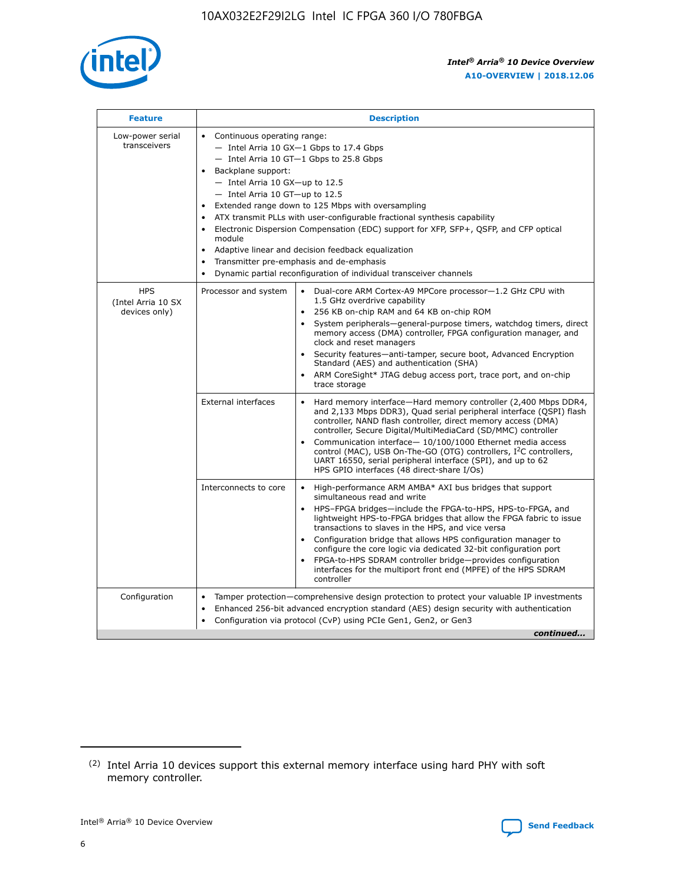

| <b>Feature</b>                                     | <b>Description</b>                                                                                                                                                                                                                                                                                                                                                                                                                                                                                                                                                                                                                                      |
|----------------------------------------------------|---------------------------------------------------------------------------------------------------------------------------------------------------------------------------------------------------------------------------------------------------------------------------------------------------------------------------------------------------------------------------------------------------------------------------------------------------------------------------------------------------------------------------------------------------------------------------------------------------------------------------------------------------------|
| Low-power serial<br>transceivers                   | • Continuous operating range:<br>- Intel Arria 10 GX-1 Gbps to 17.4 Gbps<br>- Intel Arria 10 GT-1 Gbps to 25.8 Gbps<br>Backplane support:<br>$-$ Intel Arria 10 GX-up to 12.5<br>- Intel Arria 10 GT-up to 12.5<br>Extended range down to 125 Mbps with oversampling<br>ATX transmit PLLs with user-configurable fractional synthesis capability<br>• Electronic Dispersion Compensation (EDC) support for XFP, SFP+, OSFP, and CFP optical<br>module<br>Adaptive linear and decision feedback equalization<br>$\bullet$<br>Transmitter pre-emphasis and de-emphasis<br>$\bullet$<br>Dynamic partial reconfiguration of individual transceiver channels |
| <b>HPS</b><br>(Intel Arria 10 SX)<br>devices only) | • Dual-core ARM Cortex-A9 MPCore processor-1.2 GHz CPU with<br>Processor and system<br>1.5 GHz overdrive capability<br>256 KB on-chip RAM and 64 KB on-chip ROM<br>$\bullet$<br>System peripherals—general-purpose timers, watchdog timers, direct<br>$\bullet$<br>memory access (DMA) controller, FPGA configuration manager, and<br>clock and reset managers<br>• Security features-anti-tamper, secure boot, Advanced Encryption<br>Standard (AES) and authentication (SHA)<br>ARM CoreSight* JTAG debug access port, trace port, and on-chip<br>$\bullet$<br>trace storage                                                                          |
|                                                    | <b>External interfaces</b><br>Hard memory interface-Hard memory controller (2,400 Mbps DDR4,<br>$\bullet$<br>and 2,133 Mbps DDR3), Quad serial peripheral interface (QSPI) flash<br>controller, NAND flash controller, direct memory access (DMA)<br>controller, Secure Digital/MultiMediaCard (SD/MMC) controller<br>Communication interface-10/100/1000 Ethernet media access<br>$\bullet$<br>control (MAC), USB On-The-GO (OTG) controllers, I <sup>2</sup> C controllers,<br>UART 16550, serial peripheral interface (SPI), and up to 62<br>HPS GPIO interfaces (48 direct-share I/Os)                                                              |
|                                                    | Interconnects to core<br>• High-performance ARM AMBA* AXI bus bridges that support<br>simultaneous read and write<br>HPS-FPGA bridges-include the FPGA-to-HPS, HPS-to-FPGA, and<br>$\bullet$<br>lightweight HPS-to-FPGA bridges that allow the FPGA fabric to issue<br>transactions to slaves in the HPS, and vice versa<br>Configuration bridge that allows HPS configuration manager to<br>configure the core logic via dedicated 32-bit configuration port<br>FPGA-to-HPS SDRAM controller bridge-provides configuration<br>interfaces for the multiport front end (MPFE) of the HPS SDRAM<br>controller                                             |
| Configuration                                      | Tamper protection—comprehensive design protection to protect your valuable IP investments<br>Enhanced 256-bit advanced encryption standard (AES) design security with authentication<br>٠<br>Configuration via protocol (CvP) using PCIe Gen1, Gen2, or Gen3<br>continued                                                                                                                                                                                                                                                                                                                                                                               |

<sup>(2)</sup> Intel Arria 10 devices support this external memory interface using hard PHY with soft memory controller.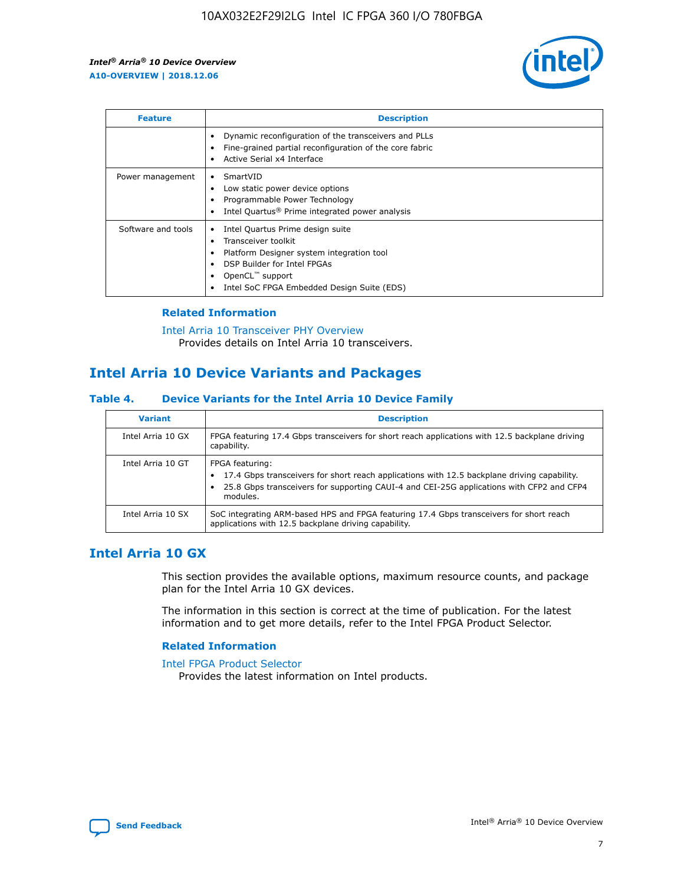

| <b>Feature</b>     | <b>Description</b>                                                                                                                                                                                               |
|--------------------|------------------------------------------------------------------------------------------------------------------------------------------------------------------------------------------------------------------|
|                    | Dynamic reconfiguration of the transceivers and PLLs<br>Fine-grained partial reconfiguration of the core fabric<br>Active Serial x4 Interface                                                                    |
| Power management   | SmartVID<br>Low static power device options<br>Programmable Power Technology<br>Intel Quartus <sup>®</sup> Prime integrated power analysis                                                                       |
| Software and tools | Intel Quartus Prime design suite<br>Transceiver toolkit<br>Platform Designer system integration tool<br>DSP Builder for Intel FPGAs<br>OpenCL <sup>™</sup> support<br>Intel SoC FPGA Embedded Design Suite (EDS) |

# **Related Information**

[Intel Arria 10 Transceiver PHY Overview](https://www.intel.com/content/www/us/en/programmable/documentation/nik1398707230472.html#nik1398706768037) Provides details on Intel Arria 10 transceivers.

# **Intel Arria 10 Device Variants and Packages**

#### **Table 4. Device Variants for the Intel Arria 10 Device Family**

| <b>Variant</b>    | <b>Description</b>                                                                                                                                                                                                     |
|-------------------|------------------------------------------------------------------------------------------------------------------------------------------------------------------------------------------------------------------------|
| Intel Arria 10 GX | FPGA featuring 17.4 Gbps transceivers for short reach applications with 12.5 backplane driving<br>capability.                                                                                                          |
| Intel Arria 10 GT | FPGA featuring:<br>17.4 Gbps transceivers for short reach applications with 12.5 backplane driving capability.<br>25.8 Gbps transceivers for supporting CAUI-4 and CEI-25G applications with CFP2 and CFP4<br>modules. |
| Intel Arria 10 SX | SoC integrating ARM-based HPS and FPGA featuring 17.4 Gbps transceivers for short reach<br>applications with 12.5 backplane driving capability.                                                                        |

# **Intel Arria 10 GX**

This section provides the available options, maximum resource counts, and package plan for the Intel Arria 10 GX devices.

The information in this section is correct at the time of publication. For the latest information and to get more details, refer to the Intel FPGA Product Selector.

#### **Related Information**

#### [Intel FPGA Product Selector](http://www.altera.com/products/selector/psg-selector.html) Provides the latest information on Intel products.

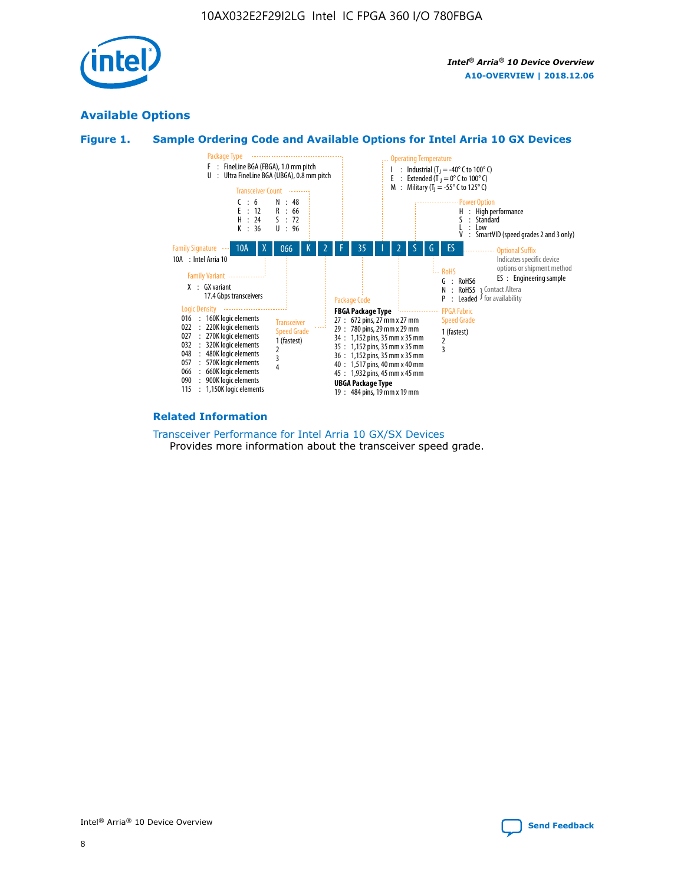

# **Available Options**





#### **Related Information**

[Transceiver Performance for Intel Arria 10 GX/SX Devices](https://www.intel.com/content/www/us/en/programmable/documentation/mcn1413182292568.html#mcn1413213965502) Provides more information about the transceiver speed grade.

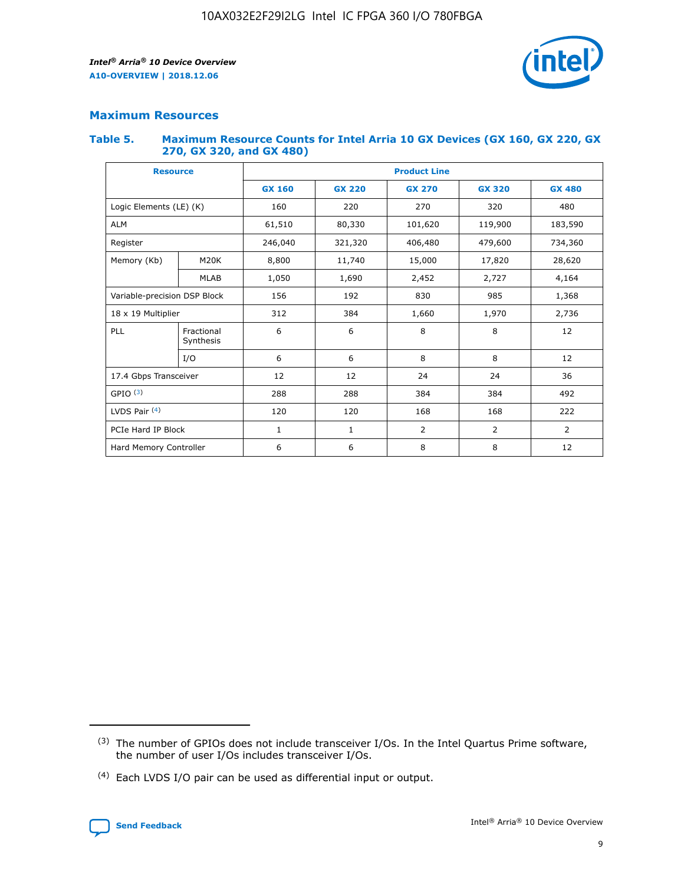

# **Maximum Resources**

#### **Table 5. Maximum Resource Counts for Intel Arria 10 GX Devices (GX 160, GX 220, GX 270, GX 320, and GX 480)**

| <b>Resource</b>              |                         | <b>Product Line</b> |                    |                |                |               |  |  |
|------------------------------|-------------------------|---------------------|--------------------|----------------|----------------|---------------|--|--|
|                              |                         | <b>GX 160</b>       | <b>GX 220</b>      | <b>GX 270</b>  | <b>GX 320</b>  | <b>GX 480</b> |  |  |
| Logic Elements (LE) (K)      |                         | 160                 | 220                | 270            | 320            | 480           |  |  |
| <b>ALM</b>                   |                         | 61,510              | 80,330             | 101,620        | 119,900        | 183,590       |  |  |
| Register                     |                         | 246,040             | 321,320<br>406,480 |                | 479,600        | 734,360       |  |  |
| Memory (Kb)                  | M <sub>20</sub> K       | 8,800               | 11,740             | 15,000         | 17,820         | 28,620        |  |  |
|                              | <b>MLAB</b>             | 1,050               | 1,690              | 2,452          | 2,727          | 4,164         |  |  |
| Variable-precision DSP Block |                         | 156                 | 192<br>830<br>985  |                | 1,368          |               |  |  |
| 18 x 19 Multiplier           |                         | 312                 | 384                | 1,660          | 1,970          | 2,736         |  |  |
| PLL                          | Fractional<br>Synthesis | 6                   | 6                  | 8              | 8              | 12            |  |  |
|                              | I/O                     | 6                   | 6                  | 8              | 8              | 12            |  |  |
| 17.4 Gbps Transceiver        |                         | 12                  | 12                 | 24             | 24             | 36            |  |  |
| GPIO <sup>(3)</sup>          |                         | 288                 | 288                | 384<br>384     |                | 492           |  |  |
| LVDS Pair $(4)$              |                         | 120                 | 120                | 168            | 168            | 222           |  |  |
| PCIe Hard IP Block           |                         | 1                   | 1                  | $\overline{2}$ | $\overline{2}$ | 2             |  |  |
| Hard Memory Controller       |                         | 6                   | 6                  | 8              | 8              | 12            |  |  |

<sup>(4)</sup> Each LVDS I/O pair can be used as differential input or output.



<sup>(3)</sup> The number of GPIOs does not include transceiver I/Os. In the Intel Quartus Prime software, the number of user I/Os includes transceiver I/Os.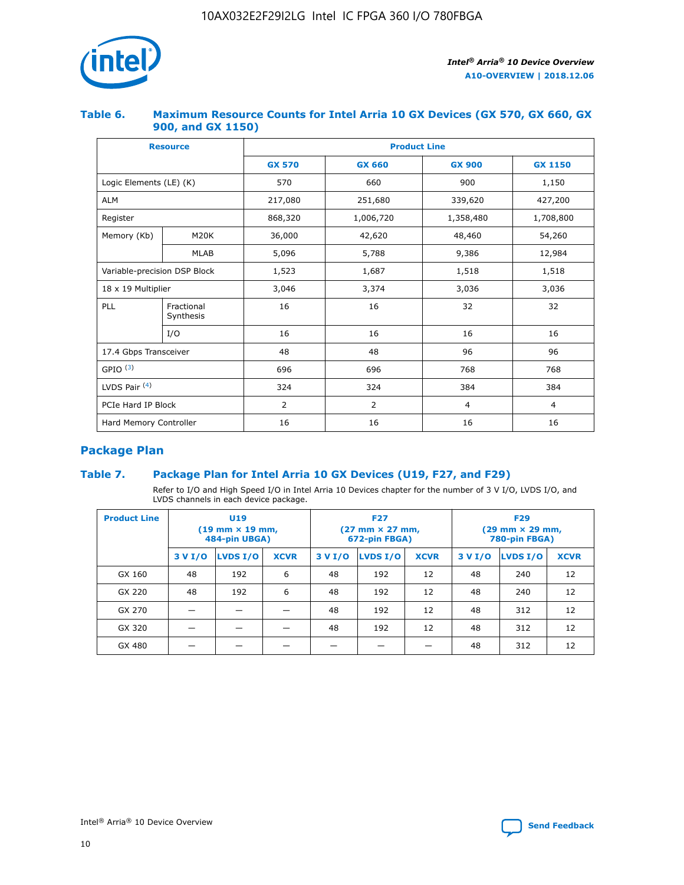

## **Table 6. Maximum Resource Counts for Intel Arria 10 GX Devices (GX 570, GX 660, GX 900, and GX 1150)**

|                              | <b>Resource</b>         | <b>Product Line</b> |                |                |                |  |  |  |
|------------------------------|-------------------------|---------------------|----------------|----------------|----------------|--|--|--|
|                              |                         | <b>GX 570</b>       | <b>GX 660</b>  | <b>GX 900</b>  | <b>GX 1150</b> |  |  |  |
| Logic Elements (LE) (K)      |                         | 570                 | 660            | 900            | 1,150          |  |  |  |
| <b>ALM</b>                   |                         | 217,080             | 251,680        | 339,620        | 427,200        |  |  |  |
| Register                     |                         | 868,320             | 1,006,720      | 1,358,480      | 1,708,800      |  |  |  |
| Memory (Kb)                  | <b>M20K</b>             | 36,000              | 42,620         | 48,460         | 54,260         |  |  |  |
|                              | <b>MLAB</b>             | 5,096               | 5,788          | 9,386          | 12,984         |  |  |  |
| Variable-precision DSP Block |                         | 1,523               | 1,687          | 1,518          | 1,518          |  |  |  |
| $18 \times 19$ Multiplier    |                         | 3,046               | 3,374          | 3,036          | 3,036          |  |  |  |
| PLL                          | Fractional<br>Synthesis | 16                  | 16             | 32             | 32             |  |  |  |
|                              | I/O                     | 16                  | 16             | 16             | 16             |  |  |  |
| 17.4 Gbps Transceiver        |                         | 48                  | 48             | 96             | 96             |  |  |  |
| GPIO <sup>(3)</sup>          |                         | 696                 | 696            | 768            | 768            |  |  |  |
| LVDS Pair $(4)$              |                         | 324                 | 324            | 384            | 384            |  |  |  |
| PCIe Hard IP Block           |                         | $\overline{2}$      | $\overline{2}$ | $\overline{4}$ | $\overline{4}$ |  |  |  |
| Hard Memory Controller       |                         | 16                  | 16<br>16       |                | 16             |  |  |  |

# **Package Plan**

# **Table 7. Package Plan for Intel Arria 10 GX Devices (U19, F27, and F29)**

Refer to I/O and High Speed I/O in Intel Arria 10 Devices chapter for the number of 3 V I/O, LVDS I/O, and LVDS channels in each device package.

| <b>Product Line</b> | U <sub>19</sub><br>$(19 \text{ mm} \times 19 \text{ mm})$<br>484-pin UBGA) |          |             | <b>F27</b><br>(27 mm × 27 mm,<br>672-pin FBGA) |                 |             | <b>F29</b><br>(29 mm × 29 mm,<br>780-pin FBGA) |          |             |
|---------------------|----------------------------------------------------------------------------|----------|-------------|------------------------------------------------|-----------------|-------------|------------------------------------------------|----------|-------------|
|                     | 3 V I/O                                                                    | LVDS I/O | <b>XCVR</b> | 3 V I/O                                        | <b>LVDS I/O</b> | <b>XCVR</b> | 3 V I/O                                        | LVDS I/O | <b>XCVR</b> |
| GX 160              | 48                                                                         | 192      | 6           | 48                                             | 192             | 12          | 48                                             | 240      | 12          |
| GX 220              | 48                                                                         | 192      | 6           | 48                                             | 192             | 12          | 48                                             | 240      | 12          |
| GX 270              |                                                                            |          |             | 48                                             | 192             | 12          | 48                                             | 312      | 12          |
| GX 320              |                                                                            |          |             | 48                                             | 192             | 12          | 48                                             | 312      | 12          |
| GX 480              |                                                                            |          |             |                                                |                 |             | 48                                             | 312      | 12          |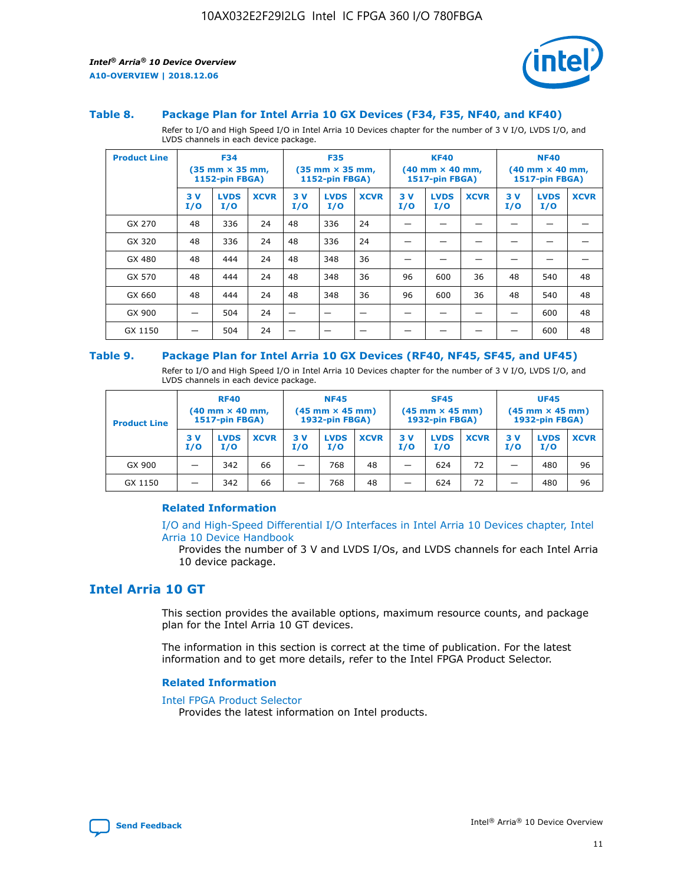

#### **Table 8. Package Plan for Intel Arria 10 GX Devices (F34, F35, NF40, and KF40)**

Refer to I/O and High Speed I/O in Intel Arria 10 Devices chapter for the number of 3 V I/O, LVDS I/O, and LVDS channels in each device package.

| <b>Product Line</b> | <b>F34</b><br>$(35 \text{ mm} \times 35 \text{ mm})$<br>1152-pin FBGA) |                    | <b>F35</b><br>$(35$ mm $\times$ 35 mm,<br><b>1152-pin FBGA)</b> |           | <b>KF40</b><br>$(40$ mm $\times$ 40 mm,<br>1517-pin FBGA) |             |           | <b>NF40</b><br>$(40$ mm $\times$ 40 mm,<br><b>1517-pin FBGA)</b> |             |            |                    |             |
|---------------------|------------------------------------------------------------------------|--------------------|-----------------------------------------------------------------|-----------|-----------------------------------------------------------|-------------|-----------|------------------------------------------------------------------|-------------|------------|--------------------|-------------|
|                     | 3V<br>I/O                                                              | <b>LVDS</b><br>I/O | <b>XCVR</b>                                                     | 3V<br>I/O | <b>LVDS</b><br>I/O                                        | <b>XCVR</b> | 3V<br>I/O | <b>LVDS</b><br>I/O                                               | <b>XCVR</b> | 3 V<br>I/O | <b>LVDS</b><br>I/O | <b>XCVR</b> |
| GX 270              | 48                                                                     | 336                | 24                                                              | 48        | 336                                                       | 24          |           |                                                                  |             |            |                    |             |
| GX 320              | 48                                                                     | 336                | 24                                                              | 48        | 336                                                       | 24          |           |                                                                  |             |            |                    |             |
| GX 480              | 48                                                                     | 444                | 24                                                              | 48        | 348                                                       | 36          |           |                                                                  |             |            |                    |             |
| GX 570              | 48                                                                     | 444                | 24                                                              | 48        | 348                                                       | 36          | 96        | 600                                                              | 36          | 48         | 540                | 48          |
| GX 660              | 48                                                                     | 444                | 24                                                              | 48        | 348                                                       | 36          | 96        | 600                                                              | 36          | 48         | 540                | 48          |
| GX 900              |                                                                        | 504                | 24                                                              | —         |                                                           | -           |           |                                                                  |             |            | 600                | 48          |
| GX 1150             |                                                                        | 504                | 24                                                              |           |                                                           |             |           |                                                                  |             |            | 600                | 48          |

#### **Table 9. Package Plan for Intel Arria 10 GX Devices (RF40, NF45, SF45, and UF45)**

Refer to I/O and High Speed I/O in Intel Arria 10 Devices chapter for the number of 3 V I/O, LVDS I/O, and LVDS channels in each device package.

| <b>Product Line</b> | <b>RF40</b><br>$(40$ mm $\times$ 40 mm,<br>1517-pin FBGA) |                    |             | <b>NF45</b><br>$(45 \text{ mm} \times 45 \text{ mm})$<br><b>1932-pin FBGA)</b> |                    |             | <b>SF45</b><br>$(45 \text{ mm} \times 45 \text{ mm})$<br><b>1932-pin FBGA)</b> |                    |             | <b>UF45</b><br>$(45 \text{ mm} \times 45 \text{ mm})$<br><b>1932-pin FBGA)</b> |                    |             |
|---------------------|-----------------------------------------------------------|--------------------|-------------|--------------------------------------------------------------------------------|--------------------|-------------|--------------------------------------------------------------------------------|--------------------|-------------|--------------------------------------------------------------------------------|--------------------|-------------|
|                     | 3V<br>I/O                                                 | <b>LVDS</b><br>I/O | <b>XCVR</b> | 3 V<br>I/O                                                                     | <b>LVDS</b><br>I/O | <b>XCVR</b> | 3 V<br>I/O                                                                     | <b>LVDS</b><br>I/O | <b>XCVR</b> | 3V<br>I/O                                                                      | <b>LVDS</b><br>I/O | <b>XCVR</b> |
| GX 900              |                                                           | 342                | 66          | _                                                                              | 768                | 48          |                                                                                | 624                | 72          |                                                                                | 480                | 96          |
| GX 1150             |                                                           | 342                | 66          | _                                                                              | 768                | 48          |                                                                                | 624                | 72          |                                                                                | 480                | 96          |

## **Related Information**

[I/O and High-Speed Differential I/O Interfaces in Intel Arria 10 Devices chapter, Intel](https://www.intel.com/content/www/us/en/programmable/documentation/sam1403482614086.html#sam1403482030321) [Arria 10 Device Handbook](https://www.intel.com/content/www/us/en/programmable/documentation/sam1403482614086.html#sam1403482030321)

Provides the number of 3 V and LVDS I/Os, and LVDS channels for each Intel Arria 10 device package.

# **Intel Arria 10 GT**

This section provides the available options, maximum resource counts, and package plan for the Intel Arria 10 GT devices.

The information in this section is correct at the time of publication. For the latest information and to get more details, refer to the Intel FPGA Product Selector.

#### **Related Information**

#### [Intel FPGA Product Selector](http://www.altera.com/products/selector/psg-selector.html)

Provides the latest information on Intel products.

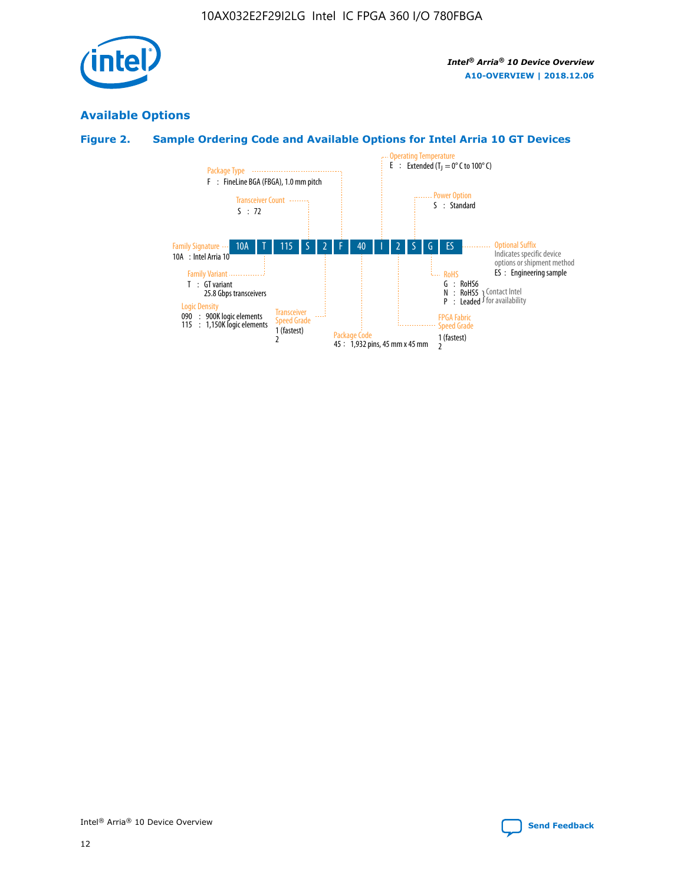

# **Available Options**

# **Figure 2. Sample Ordering Code and Available Options for Intel Arria 10 GT Devices**

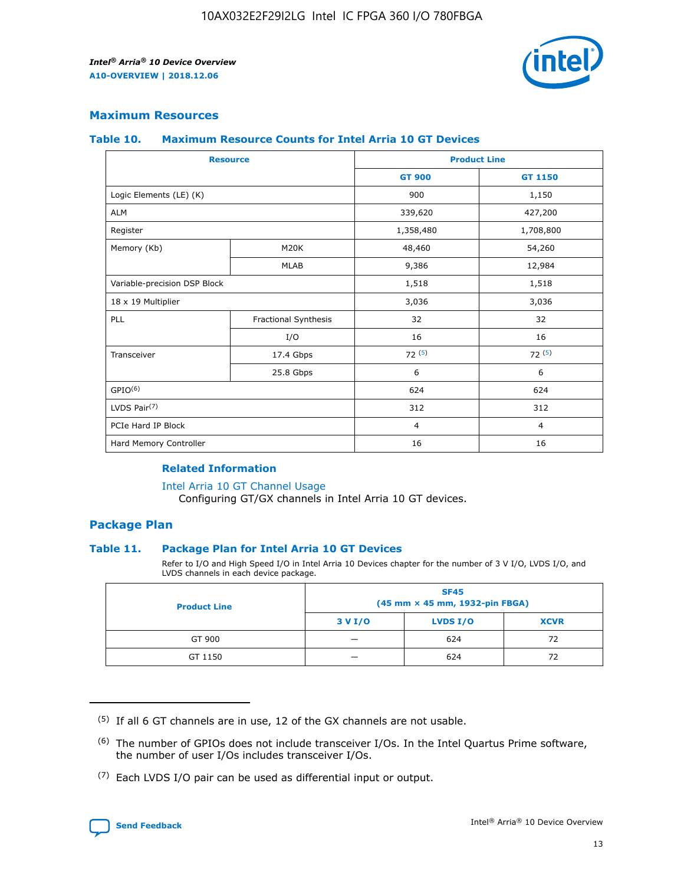

# **Maximum Resources**

#### **Table 10. Maximum Resource Counts for Intel Arria 10 GT Devices**

| <b>Resource</b>              |                      | <b>Product Line</b> |                |
|------------------------------|----------------------|---------------------|----------------|
|                              |                      | <b>GT 900</b>       | <b>GT 1150</b> |
| Logic Elements (LE) (K)      |                      | 900                 | 1,150          |
| <b>ALM</b>                   |                      | 339,620             | 427,200        |
| Register                     |                      | 1,358,480           | 1,708,800      |
| Memory (Kb)                  | M20K                 |                     | 54,260         |
|                              | <b>MLAB</b>          | 9,386               | 12,984         |
| Variable-precision DSP Block |                      | 1,518               | 1,518          |
| 18 x 19 Multiplier           |                      | 3,036               | 3,036          |
| PLL                          | Fractional Synthesis | 32                  | 32             |
|                              | I/O                  | 16                  | 16             |
| Transceiver                  | 17.4 Gbps            | 72(5)               | 72(5)          |
|                              | 25.8 Gbps            | 6                   | 6              |
| GPIO <sup>(6)</sup>          |                      | 624                 | 624            |
| LVDS Pair $(7)$              |                      | 312                 | 312            |
| PCIe Hard IP Block           |                      | $\overline{4}$      | $\overline{4}$ |
| Hard Memory Controller       |                      | 16                  | 16             |

## **Related Information**

#### [Intel Arria 10 GT Channel Usage](https://www.intel.com/content/www/us/en/programmable/documentation/nik1398707230472.html#nik1398707008178)

Configuring GT/GX channels in Intel Arria 10 GT devices.

# **Package Plan**

## **Table 11. Package Plan for Intel Arria 10 GT Devices**

Refer to I/O and High Speed I/O in Intel Arria 10 Devices chapter for the number of 3 V I/O, LVDS I/O, and LVDS channels in each device package.

| <b>Product Line</b> | <b>SF45</b><br>(45 mm × 45 mm, 1932-pin FBGA) |                 |             |  |  |  |  |
|---------------------|-----------------------------------------------|-----------------|-------------|--|--|--|--|
|                     | 3 V I/O                                       | <b>LVDS I/O</b> | <b>XCVR</b> |  |  |  |  |
| GT 900              |                                               | 624             | 72          |  |  |  |  |
| GT 1150             |                                               | 624             | 72          |  |  |  |  |

<sup>(7)</sup> Each LVDS I/O pair can be used as differential input or output.



 $(5)$  If all 6 GT channels are in use, 12 of the GX channels are not usable.

<sup>(6)</sup> The number of GPIOs does not include transceiver I/Os. In the Intel Quartus Prime software, the number of user I/Os includes transceiver I/Os.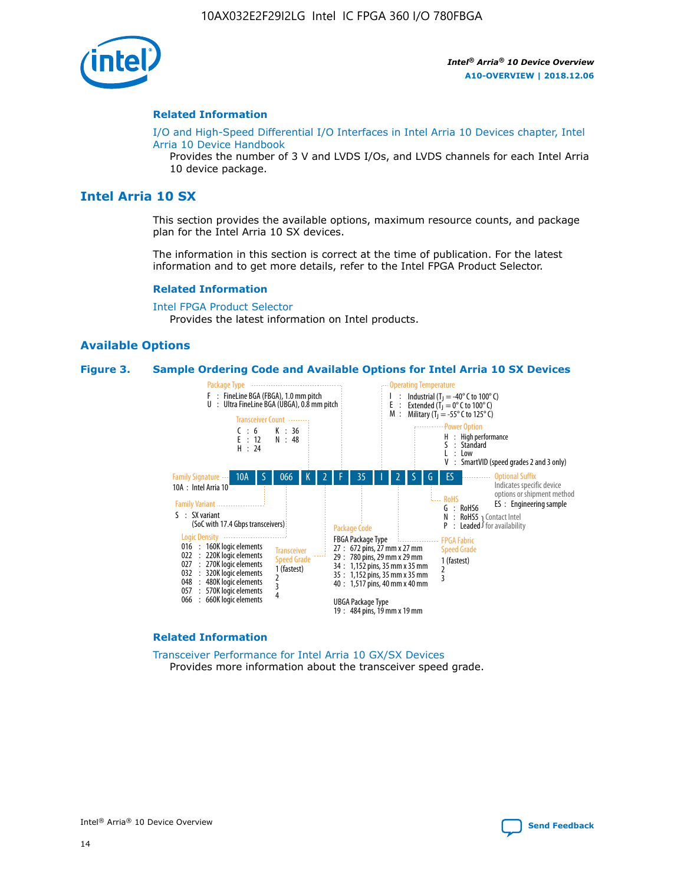

#### **Related Information**

[I/O and High-Speed Differential I/O Interfaces in Intel Arria 10 Devices chapter, Intel](https://www.intel.com/content/www/us/en/programmable/documentation/sam1403482614086.html#sam1403482030321) [Arria 10 Device Handbook](https://www.intel.com/content/www/us/en/programmable/documentation/sam1403482614086.html#sam1403482030321)

Provides the number of 3 V and LVDS I/Os, and LVDS channels for each Intel Arria 10 device package.

# **Intel Arria 10 SX**

This section provides the available options, maximum resource counts, and package plan for the Intel Arria 10 SX devices.

The information in this section is correct at the time of publication. For the latest information and to get more details, refer to the Intel FPGA Product Selector.

#### **Related Information**

[Intel FPGA Product Selector](http://www.altera.com/products/selector/psg-selector.html) Provides the latest information on Intel products.

## **Available Options**

#### **Figure 3. Sample Ordering Code and Available Options for Intel Arria 10 SX Devices**



#### **Related Information**

[Transceiver Performance for Intel Arria 10 GX/SX Devices](https://www.intel.com/content/www/us/en/programmable/documentation/mcn1413182292568.html#mcn1413213965502) Provides more information about the transceiver speed grade.

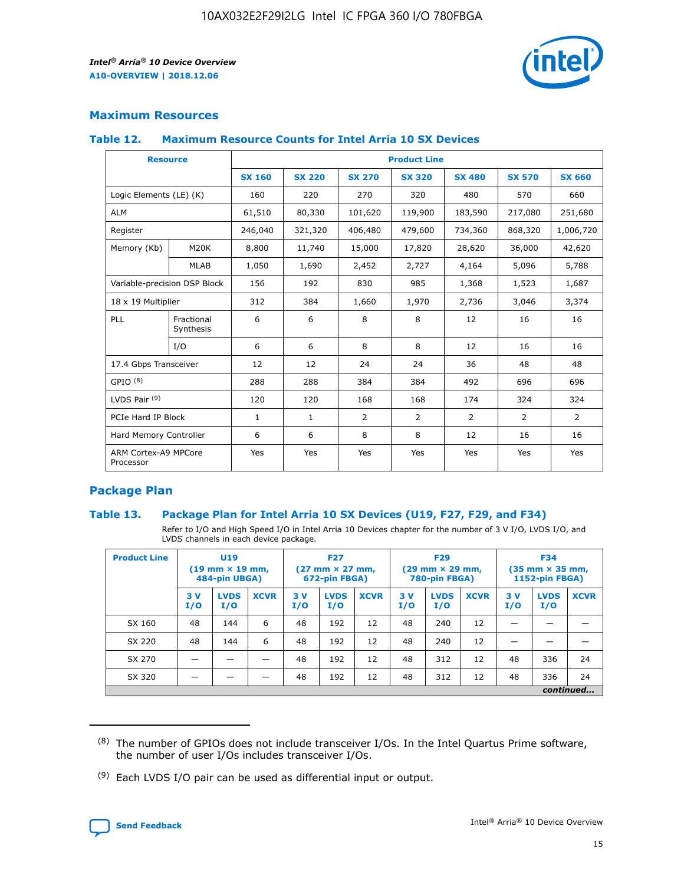

# **Maximum Resources**

## **Table 12. Maximum Resource Counts for Intel Arria 10 SX Devices**

| <b>Resource</b>                   |                         |               |               |                | <b>Product Line</b> |                |                |                |
|-----------------------------------|-------------------------|---------------|---------------|----------------|---------------------|----------------|----------------|----------------|
|                                   |                         | <b>SX 160</b> | <b>SX 220</b> | <b>SX 270</b>  | <b>SX 320</b>       | <b>SX 480</b>  | <b>SX 570</b>  | <b>SX 660</b>  |
| Logic Elements (LE) (K)           |                         | 160           | 220           | 270            | 320                 | 480            | 570            | 660            |
| <b>ALM</b>                        |                         | 61,510        | 80,330        | 101,620        | 119,900             | 183,590        | 217,080        | 251,680        |
| Register                          |                         | 246,040       | 321,320       | 406,480        | 479,600             | 734,360        | 868,320        | 1,006,720      |
| Memory (Kb)                       | M <sub>20</sub> K       | 8,800         | 11,740        | 15,000         | 17,820              | 28,620         | 36,000         | 42,620         |
|                                   | <b>MLAB</b>             | 1,050         | 1,690         | 2,452          | 2,727               | 4,164          | 5,096          | 5,788          |
| Variable-precision DSP Block      |                         | 156           | 192           | 830            | 985                 | 1,368          | 1,523          | 1,687          |
| 18 x 19 Multiplier                |                         | 312           | 384           | 1,660          | 1,970               | 2,736          | 3,046          | 3,374          |
| <b>PLL</b>                        | Fractional<br>Synthesis | 6             | 6             | 8              | 8                   | 12             | 16             | 16             |
|                                   | I/O                     | 6             | 6             | 8              | 8                   | 12             | 16             | 16             |
| 17.4 Gbps Transceiver             |                         | 12            | 12            | 24             | 24                  | 36             | 48             | 48             |
| GPIO <sup>(8)</sup>               |                         | 288           | 288           | 384            | 384                 | 492            | 696            | 696            |
| LVDS Pair $(9)$                   |                         | 120           | 120           | 168            | 168                 | 174            | 324            | 324            |
|                                   | PCIe Hard IP Block      |               | $\mathbf{1}$  | $\overline{2}$ | $\overline{2}$      | $\overline{2}$ | $\overline{2}$ | $\overline{2}$ |
| Hard Memory Controller            |                         | 6             | 6             | 8              | 8                   | 12             | 16             | 16             |
| ARM Cortex-A9 MPCore<br>Processor |                         | Yes           | Yes           | Yes            | Yes                 | Yes            | Yes            | Yes            |

# **Package Plan**

## **Table 13. Package Plan for Intel Arria 10 SX Devices (U19, F27, F29, and F34)**

Refer to I/O and High Speed I/O in Intel Arria 10 Devices chapter for the number of 3 V I/O, LVDS I/O, and LVDS channels in each device package.

| <b>Product Line</b> | U <sub>19</sub><br>$(19 \text{ mm} \times 19 \text{ mm})$ .<br>484-pin UBGA) |                    |             | <b>F27</b><br>$(27 \text{ mm} \times 27 \text{ mm})$<br>672-pin FBGA) |                    | <b>F29</b><br>$(29 \text{ mm} \times 29 \text{ mm})$<br>780-pin FBGA) |           |                    | <b>F34</b><br>$(35 \text{ mm} \times 35 \text{ mm})$<br><b>1152-pin FBGA)</b> |           |                    |             |
|---------------------|------------------------------------------------------------------------------|--------------------|-------------|-----------------------------------------------------------------------|--------------------|-----------------------------------------------------------------------|-----------|--------------------|-------------------------------------------------------------------------------|-----------|--------------------|-------------|
|                     | 3V<br>I/O                                                                    | <b>LVDS</b><br>I/O | <b>XCVR</b> | 3V<br>I/O                                                             | <b>LVDS</b><br>I/O | <b>XCVR</b>                                                           | 3V<br>I/O | <b>LVDS</b><br>I/O | <b>XCVR</b>                                                                   | 3V<br>I/O | <b>LVDS</b><br>I/O | <b>XCVR</b> |
| SX 160              | 48                                                                           | 144                | 6           | 48                                                                    | 192                | 12                                                                    | 48        | 240                | 12                                                                            |           |                    |             |
| SX 220              | 48                                                                           | 144                | 6           | 48                                                                    | 192                | 12                                                                    | 48        | 240                | 12                                                                            |           |                    |             |
| SX 270              |                                                                              |                    |             | 48                                                                    | 192                | 12                                                                    | 48        | 312                | 12                                                                            | 48        | 336                | 24          |
| SX 320              |                                                                              |                    |             | 48                                                                    | 192                | 12                                                                    | 48        | 312                | 12                                                                            | 48        | 336                | 24          |
|                     | continued                                                                    |                    |             |                                                                       |                    |                                                                       |           |                    |                                                                               |           |                    |             |

 $(8)$  The number of GPIOs does not include transceiver I/Os. In the Intel Quartus Prime software, the number of user I/Os includes transceiver I/Os.

 $(9)$  Each LVDS I/O pair can be used as differential input or output.

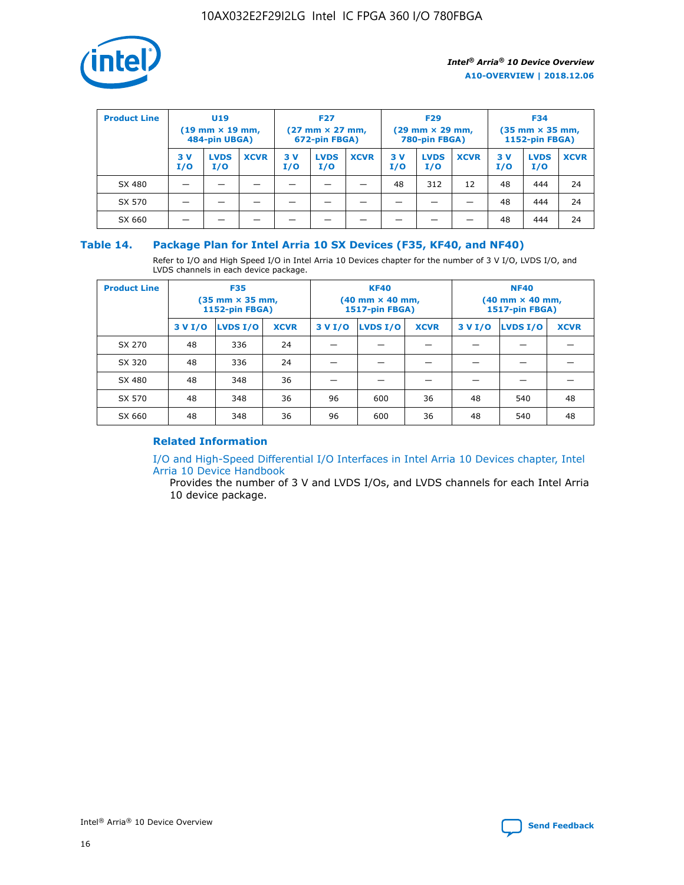

| <b>Product Line</b> | U <sub>19</sub><br>$(19 \text{ mm} \times 19 \text{ mm})$<br>484-pin UBGA) |                    | <b>F27</b><br>$(27 \text{ mm} \times 27 \text{ mm})$<br>672-pin FBGA) |           | <b>F29</b><br>$(29 \text{ mm} \times 29 \text{ mm})$<br>780-pin FBGA) |             |           | <b>F34</b><br>$(35$ mm $\times$ 35 mm,<br><b>1152-pin FBGA)</b> |             |           |                    |             |
|---------------------|----------------------------------------------------------------------------|--------------------|-----------------------------------------------------------------------|-----------|-----------------------------------------------------------------------|-------------|-----------|-----------------------------------------------------------------|-------------|-----------|--------------------|-------------|
|                     | 3V<br>I/O                                                                  | <b>LVDS</b><br>I/O | <b>XCVR</b>                                                           | 3V<br>I/O | <b>LVDS</b><br>I/O                                                    | <b>XCVR</b> | 3V<br>I/O | <b>LVDS</b><br>I/O                                              | <b>XCVR</b> | 3V<br>I/O | <b>LVDS</b><br>I/O | <b>XCVR</b> |
| SX 480              |                                                                            |                    |                                                                       |           |                                                                       |             | 48        | 312                                                             | 12          | 48        | 444                | 24          |
| SX 570              |                                                                            |                    |                                                                       |           |                                                                       |             |           |                                                                 |             | 48        | 444                | 24          |
| SX 660              |                                                                            |                    |                                                                       |           |                                                                       |             |           |                                                                 |             | 48        | 444                | 24          |

# **Table 14. Package Plan for Intel Arria 10 SX Devices (F35, KF40, and NF40)**

Refer to I/O and High Speed I/O in Intel Arria 10 Devices chapter for the number of 3 V I/O, LVDS I/O, and LVDS channels in each device package.

| <b>Product Line</b> | <b>F35</b><br>$(35 \text{ mm} \times 35 \text{ mm})$<br><b>1152-pin FBGA)</b> |          |             |         | <b>KF40</b><br>(40 mm × 40 mm,<br>1517-pin FBGA) |    | <b>NF40</b><br>$(40 \text{ mm} \times 40 \text{ mm})$<br>1517-pin FBGA) |          |             |  |
|---------------------|-------------------------------------------------------------------------------|----------|-------------|---------|--------------------------------------------------|----|-------------------------------------------------------------------------|----------|-------------|--|
|                     | 3 V I/O                                                                       | LVDS I/O | <b>XCVR</b> | 3 V I/O | <b>LVDS I/O</b><br><b>XCVR</b>                   |    |                                                                         | LVDS I/O | <b>XCVR</b> |  |
| SX 270              | 48                                                                            | 336      | 24          |         |                                                  |    |                                                                         |          |             |  |
| SX 320              | 48                                                                            | 336      | 24          |         |                                                  |    |                                                                         |          |             |  |
| SX 480              | 48                                                                            | 348      | 36          |         |                                                  |    |                                                                         |          |             |  |
| SX 570              | 48                                                                            | 348      | 36          | 96      | 600                                              | 36 | 48                                                                      | 540      | 48          |  |
| SX 660              | 48                                                                            | 348      | 36          | 96      | 600                                              | 36 | 48                                                                      | 540      | 48          |  |

# **Related Information**

[I/O and High-Speed Differential I/O Interfaces in Intel Arria 10 Devices chapter, Intel](https://www.intel.com/content/www/us/en/programmable/documentation/sam1403482614086.html#sam1403482030321) [Arria 10 Device Handbook](https://www.intel.com/content/www/us/en/programmable/documentation/sam1403482614086.html#sam1403482030321)

Provides the number of 3 V and LVDS I/Os, and LVDS channels for each Intel Arria 10 device package.

Intel<sup>®</sup> Arria<sup>®</sup> 10 Device Overview **[Send Feedback](mailto:FPGAtechdocfeedback@intel.com?subject=Feedback%20on%20Intel%20Arria%2010%20Device%20Overview%20(A10-OVERVIEW%202018.12.06)&body=We%20appreciate%20your%20feedback.%20In%20your%20comments,%20also%20specify%20the%20page%20number%20or%20paragraph.%20Thank%20you.)** Send Feedback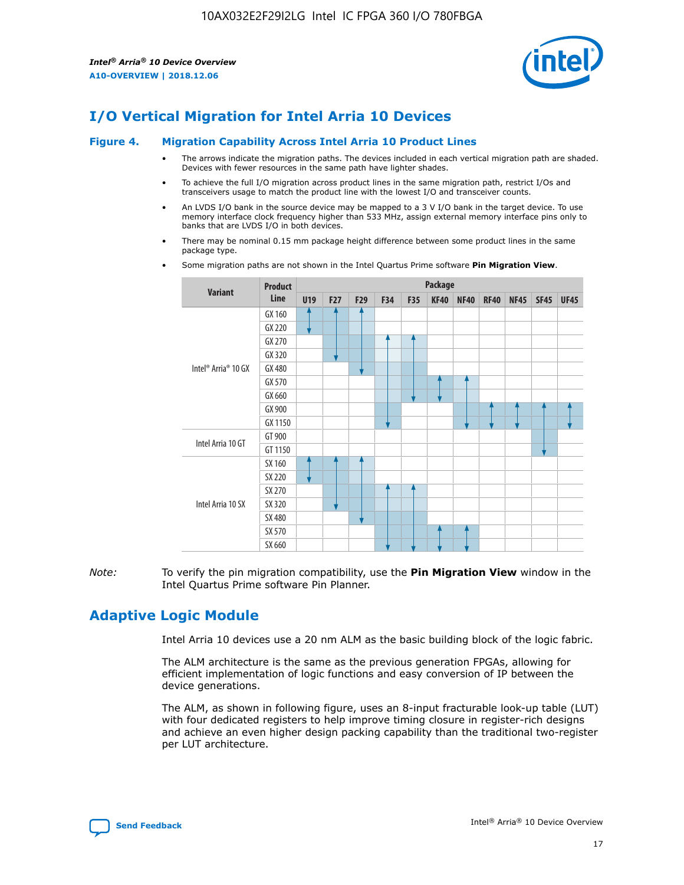

# **I/O Vertical Migration for Intel Arria 10 Devices**

#### **Figure 4. Migration Capability Across Intel Arria 10 Product Lines**

- The arrows indicate the migration paths. The devices included in each vertical migration path are shaded. Devices with fewer resources in the same path have lighter shades.
- To achieve the full I/O migration across product lines in the same migration path, restrict I/Os and transceivers usage to match the product line with the lowest I/O and transceiver counts.
- An LVDS I/O bank in the source device may be mapped to a 3 V I/O bank in the target device. To use memory interface clock frequency higher than 533 MHz, assign external memory interface pins only to banks that are LVDS I/O in both devices.
- There may be nominal 0.15 mm package height difference between some product lines in the same package type.
	- **Variant Product Line Package U19 F27 F29 F34 F35 KF40 NF40 RF40 NF45 SF45 UF45** Intel® Arria® 10 GX GX 160 GX 220 GX 270 GX 320 GX 480 GX 570 GX 660 GX 900 GX 1150 Intel Arria 10 GT GT 900 GT 1150 Intel Arria 10 SX SX 160 SX 220 SX 270 SX 320 SX 480 SX 570 SX 660
- Some migration paths are not shown in the Intel Quartus Prime software **Pin Migration View**.

*Note:* To verify the pin migration compatibility, use the **Pin Migration View** window in the Intel Quartus Prime software Pin Planner.

# **Adaptive Logic Module**

Intel Arria 10 devices use a 20 nm ALM as the basic building block of the logic fabric.

The ALM architecture is the same as the previous generation FPGAs, allowing for efficient implementation of logic functions and easy conversion of IP between the device generations.

The ALM, as shown in following figure, uses an 8-input fracturable look-up table (LUT) with four dedicated registers to help improve timing closure in register-rich designs and achieve an even higher design packing capability than the traditional two-register per LUT architecture.

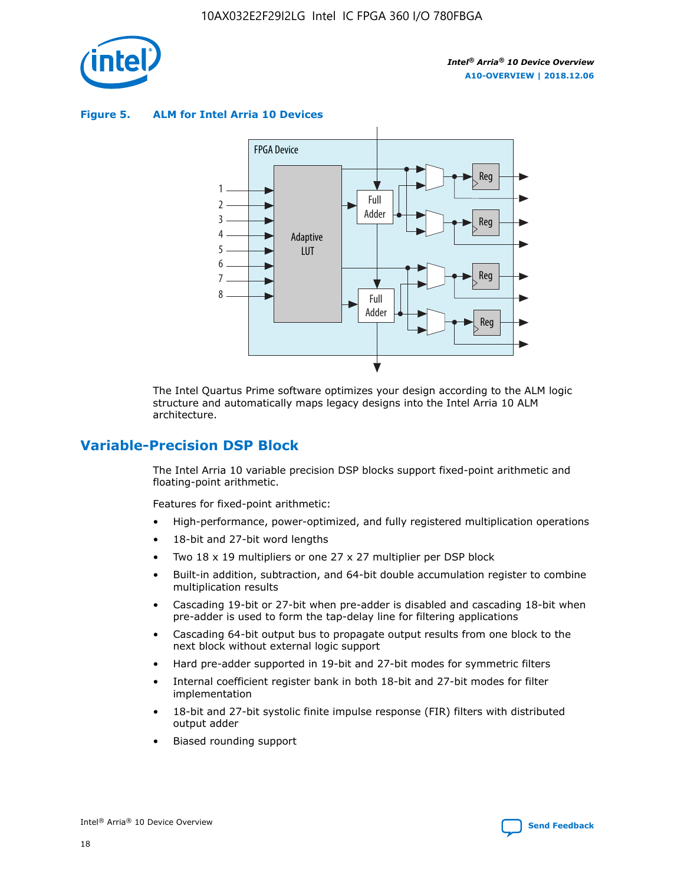

**Figure 5. ALM for Intel Arria 10 Devices**



The Intel Quartus Prime software optimizes your design according to the ALM logic structure and automatically maps legacy designs into the Intel Arria 10 ALM architecture.

# **Variable-Precision DSP Block**

The Intel Arria 10 variable precision DSP blocks support fixed-point arithmetic and floating-point arithmetic.

Features for fixed-point arithmetic:

- High-performance, power-optimized, and fully registered multiplication operations
- 18-bit and 27-bit word lengths
- Two 18 x 19 multipliers or one 27 x 27 multiplier per DSP block
- Built-in addition, subtraction, and 64-bit double accumulation register to combine multiplication results
- Cascading 19-bit or 27-bit when pre-adder is disabled and cascading 18-bit when pre-adder is used to form the tap-delay line for filtering applications
- Cascading 64-bit output bus to propagate output results from one block to the next block without external logic support
- Hard pre-adder supported in 19-bit and 27-bit modes for symmetric filters
- Internal coefficient register bank in both 18-bit and 27-bit modes for filter implementation
- 18-bit and 27-bit systolic finite impulse response (FIR) filters with distributed output adder
- Biased rounding support

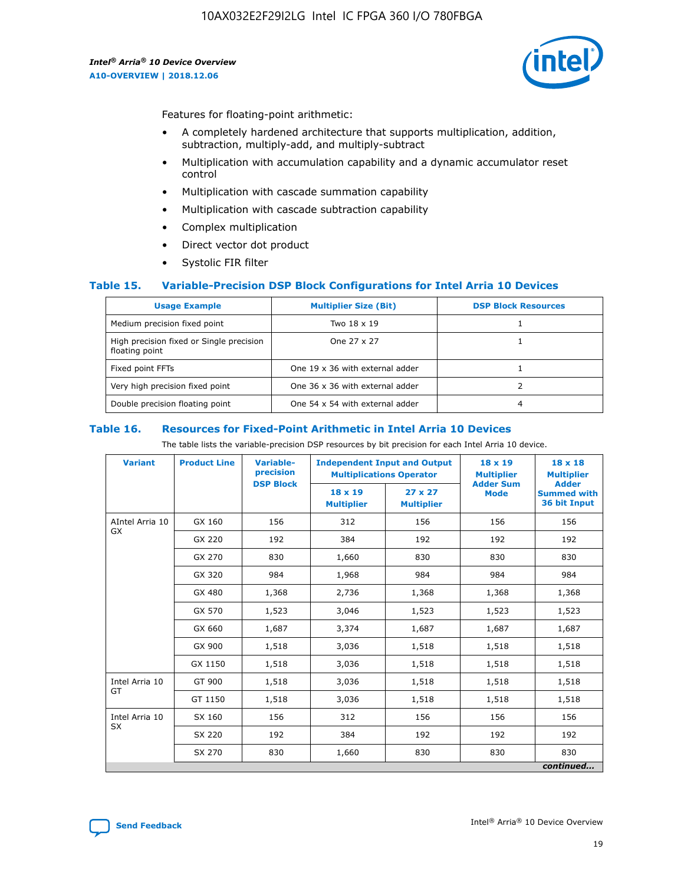

Features for floating-point arithmetic:

- A completely hardened architecture that supports multiplication, addition, subtraction, multiply-add, and multiply-subtract
- Multiplication with accumulation capability and a dynamic accumulator reset control
- Multiplication with cascade summation capability
- Multiplication with cascade subtraction capability
- Complex multiplication
- Direct vector dot product
- Systolic FIR filter

## **Table 15. Variable-Precision DSP Block Configurations for Intel Arria 10 Devices**

| <b>Usage Example</b>                                       | <b>Multiplier Size (Bit)</b>    | <b>DSP Block Resources</b> |
|------------------------------------------------------------|---------------------------------|----------------------------|
| Medium precision fixed point                               | Two 18 x 19                     |                            |
| High precision fixed or Single precision<br>floating point | One 27 x 27                     |                            |
| Fixed point FFTs                                           | One 19 x 36 with external adder |                            |
| Very high precision fixed point                            | One 36 x 36 with external adder |                            |
| Double precision floating point                            | One 54 x 54 with external adder | 4                          |

#### **Table 16. Resources for Fixed-Point Arithmetic in Intel Arria 10 Devices**

The table lists the variable-precision DSP resources by bit precision for each Intel Arria 10 device.

| <b>Variant</b>  | <b>Product Line</b> | <b>Variable-</b><br>precision<br><b>DSP Block</b> | <b>Independent Input and Output</b><br><b>Multiplications Operator</b> |                                     | 18 x 19<br><b>Multiplier</b><br><b>Adder Sum</b> | $18 \times 18$<br><b>Multiplier</b><br><b>Adder</b> |
|-----------------|---------------------|---------------------------------------------------|------------------------------------------------------------------------|-------------------------------------|--------------------------------------------------|-----------------------------------------------------|
|                 |                     |                                                   | 18 x 19<br><b>Multiplier</b>                                           | $27 \times 27$<br><b>Multiplier</b> | <b>Mode</b>                                      | <b>Summed with</b><br>36 bit Input                  |
| AIntel Arria 10 | GX 160              | 156                                               | 312                                                                    | 156                                 | 156                                              | 156                                                 |
| GX              | GX 220              | 192                                               | 384                                                                    | 192                                 | 192                                              | 192                                                 |
|                 | GX 270              | 830                                               | 1,660                                                                  | 830                                 | 830                                              | 830                                                 |
|                 | GX 320              | 984                                               | 1,968                                                                  | 984                                 | 984                                              | 984                                                 |
|                 | GX 480              | 1,368                                             | 2,736                                                                  | 1,368                               | 1,368                                            | 1,368                                               |
|                 | GX 570              | 1,523                                             | 3,046                                                                  | 1,523                               | 1,523                                            | 1,523                                               |
|                 | GX 660              | 1,687                                             | 3,374                                                                  | 1,687                               | 1,687                                            | 1,687                                               |
|                 | GX 900              | 1,518                                             | 3,036                                                                  | 1,518                               | 1,518                                            | 1,518                                               |
|                 | GX 1150             | 1,518                                             | 3,036                                                                  | 1,518                               | 1,518                                            | 1,518                                               |
| Intel Arria 10  | GT 900              | 1,518                                             | 3,036                                                                  | 1,518                               | 1,518                                            | 1,518                                               |
| GT              | GT 1150             | 1,518                                             | 3,036                                                                  | 1,518                               | 1,518                                            | 1,518                                               |
| Intel Arria 10  | SX 160              | 156                                               | 312                                                                    | 156                                 | 156                                              | 156                                                 |
| <b>SX</b>       | SX 220              | 192                                               | 384                                                                    | 192                                 | 192                                              | 192                                                 |
|                 | SX 270              | 830                                               | 1,660                                                                  | 830                                 | 830                                              | 830                                                 |
|                 |                     |                                                   |                                                                        |                                     |                                                  | continued                                           |

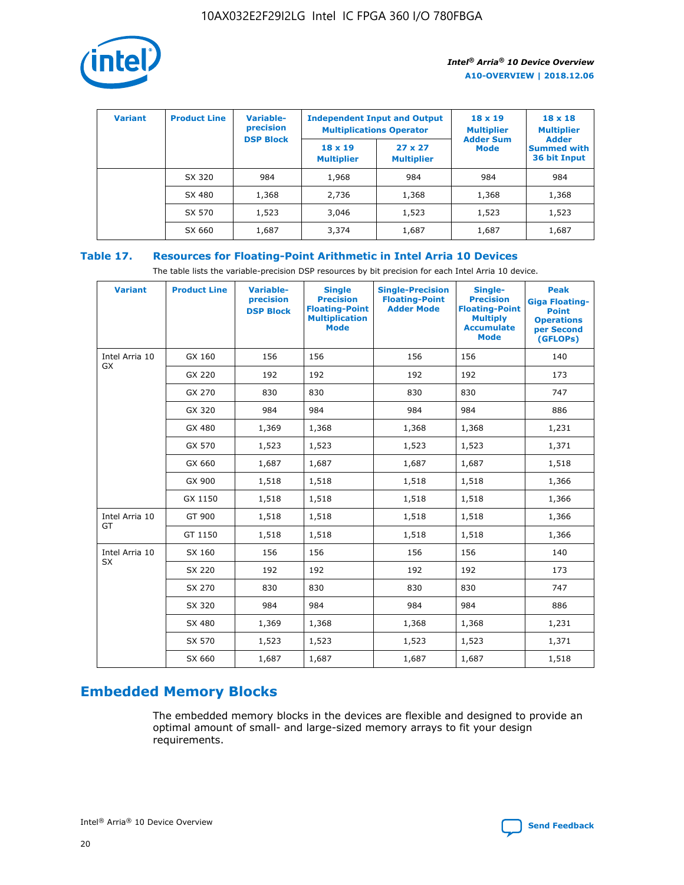

| <b>Variant</b> | <b>Product Line</b> | <b>Variable-</b><br>precision | <b>Independent Input and Output</b><br><b>Multiplications Operator</b> |                                     | $18 \times 19$<br><b>Multiplier</b> | $18 \times 18$<br><b>Multiplier</b><br><b>Adder</b> |  |
|----------------|---------------------|-------------------------------|------------------------------------------------------------------------|-------------------------------------|-------------------------------------|-----------------------------------------------------|--|
|                |                     | <b>DSP Block</b>              | $18 \times 19$<br><b>Multiplier</b>                                    | $27 \times 27$<br><b>Multiplier</b> | <b>Adder Sum</b><br><b>Mode</b>     | <b>Summed with</b><br>36 bit Input                  |  |
|                | SX 320              | 984                           | 1,968                                                                  | 984                                 | 984                                 | 984                                                 |  |
|                | SX 480              | 1,368                         | 2,736                                                                  | 1,368                               | 1,368                               | 1,368                                               |  |
|                | SX 570              | 1,523                         | 3,046                                                                  | 1,523                               | 1,523                               | 1,523                                               |  |
|                | SX 660              | 1,687                         | 3,374                                                                  | 1,687                               | 1,687                               | 1,687                                               |  |

# **Table 17. Resources for Floating-Point Arithmetic in Intel Arria 10 Devices**

The table lists the variable-precision DSP resources by bit precision for each Intel Arria 10 device.

| <b>Variant</b> | <b>Product Line</b> | <b>Variable-</b><br>precision<br><b>DSP Block</b> | <b>Single</b><br><b>Precision</b><br><b>Floating-Point</b><br><b>Multiplication</b><br><b>Mode</b> | <b>Single-Precision</b><br><b>Floating-Point</b><br><b>Adder Mode</b> | Single-<br><b>Precision</b><br><b>Floating-Point</b><br><b>Multiply</b><br><b>Accumulate</b><br><b>Mode</b> | <b>Peak</b><br><b>Giga Floating-</b><br><b>Point</b><br><b>Operations</b><br>per Second<br>(GFLOPs) |
|----------------|---------------------|---------------------------------------------------|----------------------------------------------------------------------------------------------------|-----------------------------------------------------------------------|-------------------------------------------------------------------------------------------------------------|-----------------------------------------------------------------------------------------------------|
| Intel Arria 10 | GX 160              | 156                                               | 156                                                                                                | 156                                                                   | 156                                                                                                         | 140                                                                                                 |
| <b>GX</b>      | GX 220              | 192                                               | 192                                                                                                | 192                                                                   | 192                                                                                                         | 173                                                                                                 |
|                | GX 270              | 830                                               | 830                                                                                                | 830                                                                   | 830                                                                                                         | 747                                                                                                 |
|                | GX 320              | 984                                               | 984                                                                                                | 984                                                                   | 984                                                                                                         | 886                                                                                                 |
|                | GX 480              | 1,369                                             | 1,368                                                                                              | 1,368                                                                 | 1,368                                                                                                       | 1,231                                                                                               |
|                | GX 570              | 1,523                                             | 1,523                                                                                              | 1,523                                                                 | 1,523                                                                                                       | 1,371                                                                                               |
|                | GX 660              | 1,687                                             | 1,687                                                                                              | 1,687                                                                 | 1,687                                                                                                       | 1,518                                                                                               |
|                | GX 900              | 1,518                                             | 1,518                                                                                              | 1,518                                                                 | 1,518                                                                                                       | 1,366                                                                                               |
|                | GX 1150             | 1,518                                             | 1,518                                                                                              | 1,518                                                                 | 1,518                                                                                                       | 1,366                                                                                               |
| Intel Arria 10 | GT 900              | 1,518                                             | 1,518                                                                                              | 1,518                                                                 | 1,518                                                                                                       | 1,366                                                                                               |
| GT             | GT 1150             | 1,518                                             | 1,518                                                                                              | 1,518                                                                 | 1,518                                                                                                       | 1,366                                                                                               |
| Intel Arria 10 | SX 160              | 156                                               | 156                                                                                                | 156                                                                   | 156                                                                                                         | 140                                                                                                 |
| SX             | SX 220              | 192                                               | 192                                                                                                | 192                                                                   | 192                                                                                                         | 173                                                                                                 |
|                | SX 270              | 830                                               | 830                                                                                                | 830                                                                   | 830                                                                                                         | 747                                                                                                 |
|                | SX 320              | 984                                               | 984                                                                                                | 984                                                                   | 984                                                                                                         | 886                                                                                                 |
|                | SX 480              | 1,369                                             | 1,368                                                                                              | 1,368                                                                 | 1,368                                                                                                       | 1,231                                                                                               |
|                | SX 570              | 1,523                                             | 1,523                                                                                              | 1,523                                                                 | 1,523                                                                                                       | 1,371                                                                                               |
|                | SX 660              | 1,687                                             | 1,687                                                                                              | 1,687                                                                 | 1,687                                                                                                       | 1,518                                                                                               |

# **Embedded Memory Blocks**

The embedded memory blocks in the devices are flexible and designed to provide an optimal amount of small- and large-sized memory arrays to fit your design requirements.

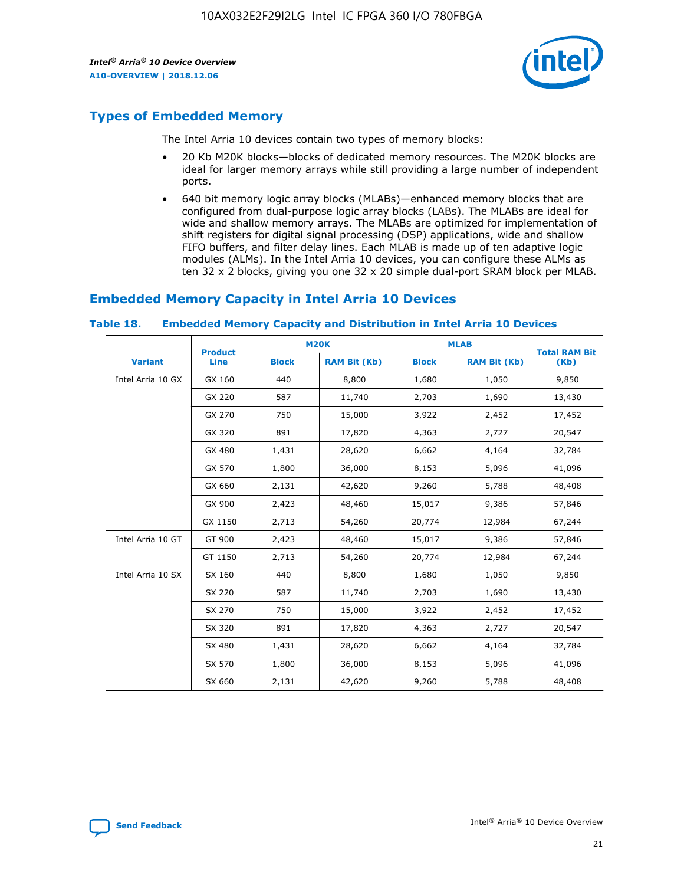

# **Types of Embedded Memory**

The Intel Arria 10 devices contain two types of memory blocks:

- 20 Kb M20K blocks—blocks of dedicated memory resources. The M20K blocks are ideal for larger memory arrays while still providing a large number of independent ports.
- 640 bit memory logic array blocks (MLABs)—enhanced memory blocks that are configured from dual-purpose logic array blocks (LABs). The MLABs are ideal for wide and shallow memory arrays. The MLABs are optimized for implementation of shift registers for digital signal processing (DSP) applications, wide and shallow FIFO buffers, and filter delay lines. Each MLAB is made up of ten adaptive logic modules (ALMs). In the Intel Arria 10 devices, you can configure these ALMs as ten 32 x 2 blocks, giving you one 32 x 20 simple dual-port SRAM block per MLAB.

# **Embedded Memory Capacity in Intel Arria 10 Devices**

|                   | <b>Product</b> |              | <b>M20K</b>         | <b>MLAB</b>  |                     | <b>Total RAM Bit</b> |
|-------------------|----------------|--------------|---------------------|--------------|---------------------|----------------------|
| <b>Variant</b>    | <b>Line</b>    | <b>Block</b> | <b>RAM Bit (Kb)</b> | <b>Block</b> | <b>RAM Bit (Kb)</b> | (Kb)                 |
| Intel Arria 10 GX | GX 160         | 440          | 8,800               | 1,680        | 1,050               | 9,850                |
|                   | GX 220         | 587          | 11,740              | 2,703        | 1,690               | 13,430               |
|                   | GX 270         | 750          | 15,000              | 3,922        | 2,452               | 17,452               |
|                   | GX 320         | 891          | 17,820              | 4,363        | 2,727               | 20,547               |
|                   | GX 480         | 1,431        | 28,620              | 6,662        | 4,164               | 32,784               |
|                   | GX 570         | 1,800        | 36,000              | 8,153        | 5,096               | 41,096               |
|                   | GX 660         | 2,131        | 42,620              | 9,260        | 5,788               | 48,408               |
|                   | GX 900         | 2,423        | 48,460              | 15,017       | 9,386               | 57,846               |
|                   | GX 1150        | 2,713        | 54,260              | 20,774       | 12,984              | 67,244               |
| Intel Arria 10 GT | GT 900         | 2,423        | 48,460              | 15,017       | 9,386               | 57,846               |
|                   | GT 1150        | 2,713        | 54,260              | 20,774       | 12,984              | 67,244               |
| Intel Arria 10 SX | SX 160         | 440          | 8,800               | 1,680        | 1,050               | 9,850                |
|                   | SX 220         | 587          | 11,740              | 2,703        | 1,690               | 13,430               |
|                   | SX 270         | 750          | 15,000              | 3,922        | 2,452               | 17,452               |
|                   | SX 320         | 891          | 17,820              | 4,363        | 2,727               | 20,547               |
|                   | SX 480         | 1,431        | 28,620              | 6,662        | 4,164               | 32,784               |
|                   | SX 570         | 1,800        | 36,000              | 8,153        | 5,096               | 41,096               |
|                   | SX 660         | 2,131        | 42,620              | 9,260        | 5,788               | 48,408               |

#### **Table 18. Embedded Memory Capacity and Distribution in Intel Arria 10 Devices**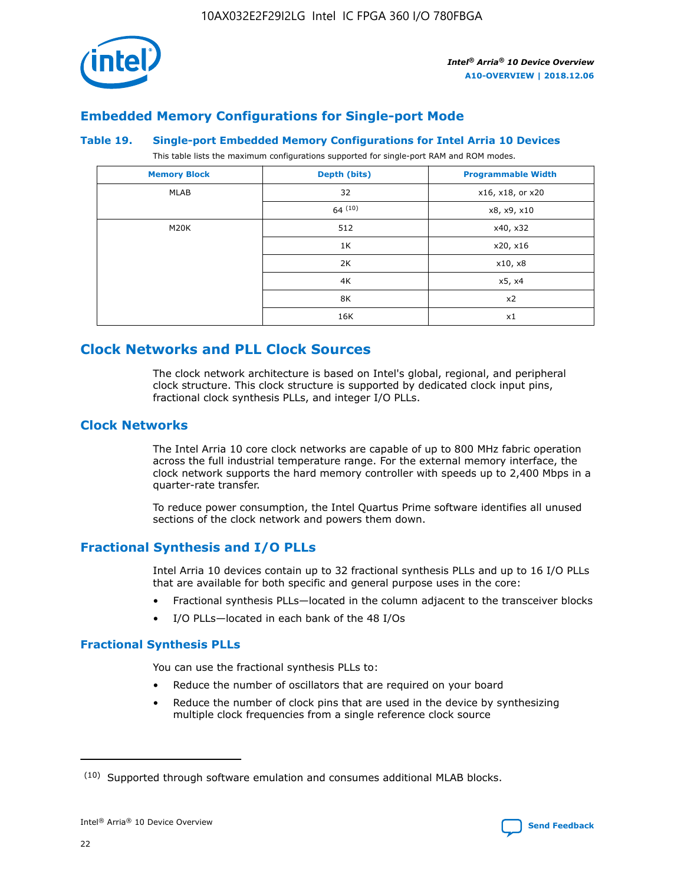

# **Embedded Memory Configurations for Single-port Mode**

#### **Table 19. Single-port Embedded Memory Configurations for Intel Arria 10 Devices**

This table lists the maximum configurations supported for single-port RAM and ROM modes.

| <b>Memory Block</b> | Depth (bits) | <b>Programmable Width</b> |
|---------------------|--------------|---------------------------|
| MLAB                | 32           | x16, x18, or x20          |
|                     | 64(10)       | x8, x9, x10               |
| M20K                | 512          | x40, x32                  |
|                     | 1K           | x20, x16                  |
|                     | 2K           | x10, x8                   |
|                     | 4K           | x5, x4                    |
|                     | 8K           | x2                        |
|                     | 16K          | x1                        |

# **Clock Networks and PLL Clock Sources**

The clock network architecture is based on Intel's global, regional, and peripheral clock structure. This clock structure is supported by dedicated clock input pins, fractional clock synthesis PLLs, and integer I/O PLLs.

# **Clock Networks**

The Intel Arria 10 core clock networks are capable of up to 800 MHz fabric operation across the full industrial temperature range. For the external memory interface, the clock network supports the hard memory controller with speeds up to 2,400 Mbps in a quarter-rate transfer.

To reduce power consumption, the Intel Quartus Prime software identifies all unused sections of the clock network and powers them down.

# **Fractional Synthesis and I/O PLLs**

Intel Arria 10 devices contain up to 32 fractional synthesis PLLs and up to 16 I/O PLLs that are available for both specific and general purpose uses in the core:

- Fractional synthesis PLLs—located in the column adjacent to the transceiver blocks
- I/O PLLs—located in each bank of the 48 I/Os

## **Fractional Synthesis PLLs**

You can use the fractional synthesis PLLs to:

- Reduce the number of oscillators that are required on your board
- Reduce the number of clock pins that are used in the device by synthesizing multiple clock frequencies from a single reference clock source

<sup>(10)</sup> Supported through software emulation and consumes additional MLAB blocks.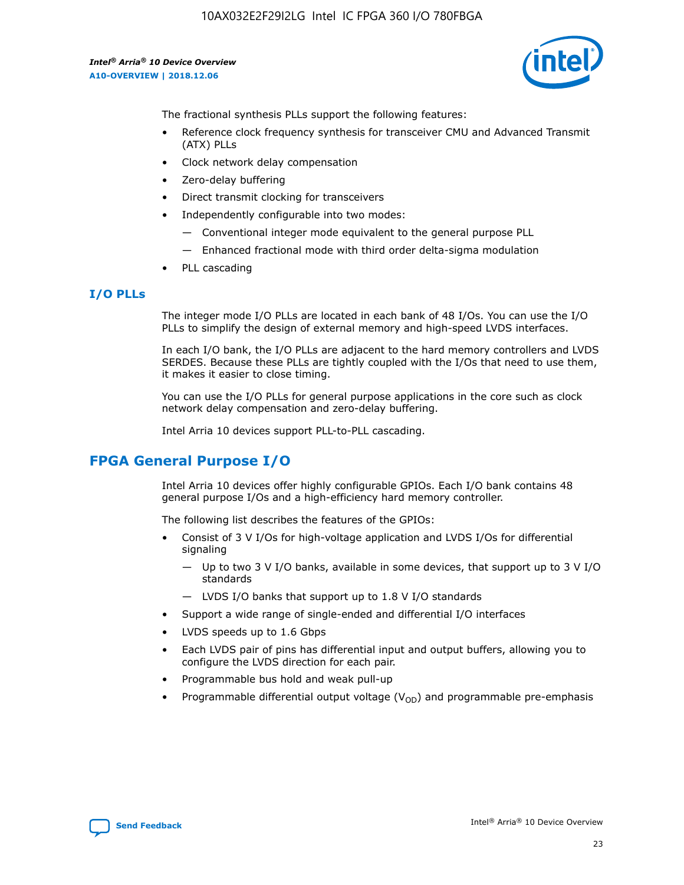

The fractional synthesis PLLs support the following features:

- Reference clock frequency synthesis for transceiver CMU and Advanced Transmit (ATX) PLLs
- Clock network delay compensation
- Zero-delay buffering
- Direct transmit clocking for transceivers
- Independently configurable into two modes:
	- Conventional integer mode equivalent to the general purpose PLL
	- Enhanced fractional mode with third order delta-sigma modulation
- PLL cascading

## **I/O PLLs**

The integer mode I/O PLLs are located in each bank of 48 I/Os. You can use the I/O PLLs to simplify the design of external memory and high-speed LVDS interfaces.

In each I/O bank, the I/O PLLs are adjacent to the hard memory controllers and LVDS SERDES. Because these PLLs are tightly coupled with the I/Os that need to use them, it makes it easier to close timing.

You can use the I/O PLLs for general purpose applications in the core such as clock network delay compensation and zero-delay buffering.

Intel Arria 10 devices support PLL-to-PLL cascading.

# **FPGA General Purpose I/O**

Intel Arria 10 devices offer highly configurable GPIOs. Each I/O bank contains 48 general purpose I/Os and a high-efficiency hard memory controller.

The following list describes the features of the GPIOs:

- Consist of 3 V I/Os for high-voltage application and LVDS I/Os for differential signaling
	- Up to two 3 V I/O banks, available in some devices, that support up to 3 V I/O standards
	- LVDS I/O banks that support up to 1.8 V I/O standards
- Support a wide range of single-ended and differential I/O interfaces
- LVDS speeds up to 1.6 Gbps
- Each LVDS pair of pins has differential input and output buffers, allowing you to configure the LVDS direction for each pair.
- Programmable bus hold and weak pull-up
- Programmable differential output voltage  $(V_{OD})$  and programmable pre-emphasis

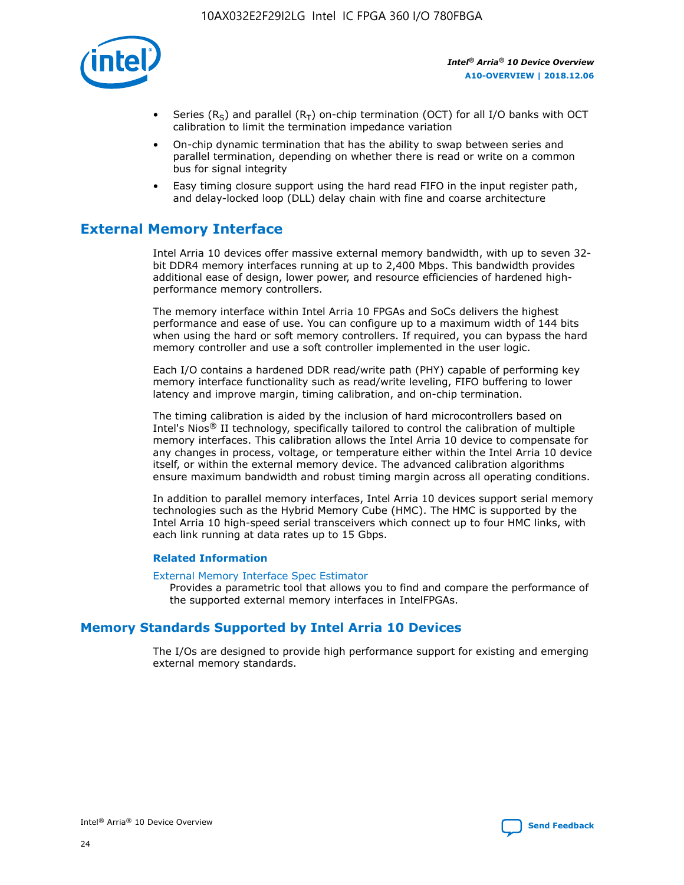

- Series (R<sub>S</sub>) and parallel (R<sub>T</sub>) on-chip termination (OCT) for all I/O banks with OCT calibration to limit the termination impedance variation
- On-chip dynamic termination that has the ability to swap between series and parallel termination, depending on whether there is read or write on a common bus for signal integrity
- Easy timing closure support using the hard read FIFO in the input register path, and delay-locked loop (DLL) delay chain with fine and coarse architecture

# **External Memory Interface**

Intel Arria 10 devices offer massive external memory bandwidth, with up to seven 32 bit DDR4 memory interfaces running at up to 2,400 Mbps. This bandwidth provides additional ease of design, lower power, and resource efficiencies of hardened highperformance memory controllers.

The memory interface within Intel Arria 10 FPGAs and SoCs delivers the highest performance and ease of use. You can configure up to a maximum width of 144 bits when using the hard or soft memory controllers. If required, you can bypass the hard memory controller and use a soft controller implemented in the user logic.

Each I/O contains a hardened DDR read/write path (PHY) capable of performing key memory interface functionality such as read/write leveling, FIFO buffering to lower latency and improve margin, timing calibration, and on-chip termination.

The timing calibration is aided by the inclusion of hard microcontrollers based on Intel's Nios® II technology, specifically tailored to control the calibration of multiple memory interfaces. This calibration allows the Intel Arria 10 device to compensate for any changes in process, voltage, or temperature either within the Intel Arria 10 device itself, or within the external memory device. The advanced calibration algorithms ensure maximum bandwidth and robust timing margin across all operating conditions.

In addition to parallel memory interfaces, Intel Arria 10 devices support serial memory technologies such as the Hybrid Memory Cube (HMC). The HMC is supported by the Intel Arria 10 high-speed serial transceivers which connect up to four HMC links, with each link running at data rates up to 15 Gbps.

## **Related Information**

#### [External Memory Interface Spec Estimator](http://www.altera.com/technology/memory/estimator/mem-emif-index.html)

Provides a parametric tool that allows you to find and compare the performance of the supported external memory interfaces in IntelFPGAs.

# **Memory Standards Supported by Intel Arria 10 Devices**

The I/Os are designed to provide high performance support for existing and emerging external memory standards.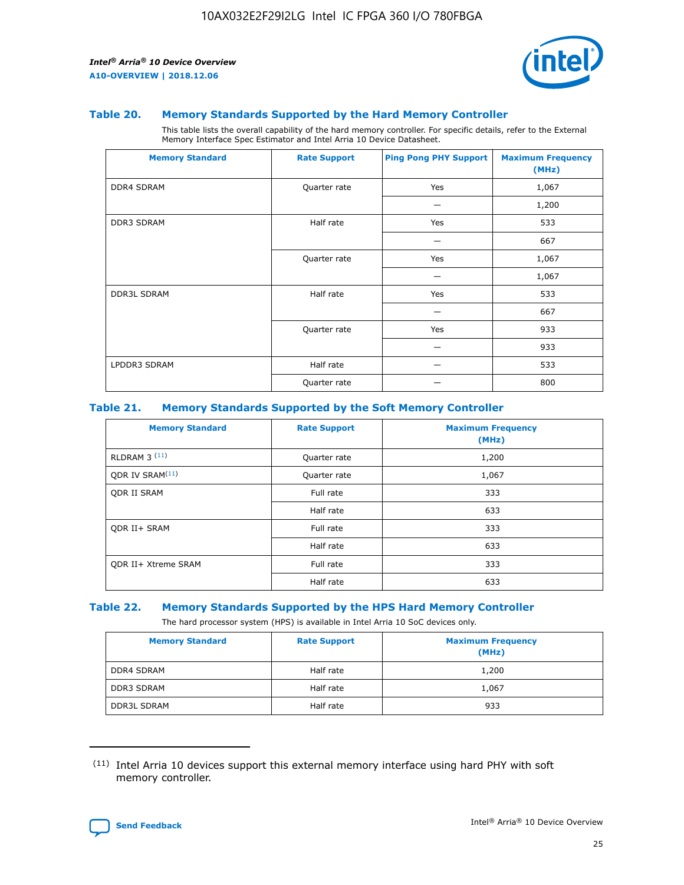

#### **Table 20. Memory Standards Supported by the Hard Memory Controller**

This table lists the overall capability of the hard memory controller. For specific details, refer to the External Memory Interface Spec Estimator and Intel Arria 10 Device Datasheet.

| <b>Memory Standard</b> | <b>Rate Support</b> | <b>Ping Pong PHY Support</b> | <b>Maximum Frequency</b><br>(MHz) |
|------------------------|---------------------|------------------------------|-----------------------------------|
| <b>DDR4 SDRAM</b>      | Quarter rate        | Yes                          | 1,067                             |
|                        |                     |                              | 1,200                             |
| <b>DDR3 SDRAM</b>      | Half rate           | Yes                          | 533                               |
|                        |                     |                              | 667                               |
|                        | Quarter rate        | Yes                          | 1,067                             |
|                        |                     |                              | 1,067                             |
| <b>DDR3L SDRAM</b>     | Half rate           | Yes                          | 533                               |
|                        |                     |                              | 667                               |
|                        | Quarter rate        | Yes                          | 933                               |
|                        |                     |                              | 933                               |
| LPDDR3 SDRAM           | Half rate           |                              | 533                               |
|                        | Quarter rate        |                              | 800                               |

#### **Table 21. Memory Standards Supported by the Soft Memory Controller**

| <b>Memory Standard</b>      | <b>Rate Support</b> | <b>Maximum Frequency</b><br>(MHz) |
|-----------------------------|---------------------|-----------------------------------|
| <b>RLDRAM 3 (11)</b>        | Quarter rate        | 1,200                             |
| ODR IV SRAM <sup>(11)</sup> | Quarter rate        | 1,067                             |
| <b>ODR II SRAM</b>          | Full rate           | 333                               |
|                             | Half rate           | 633                               |
| <b>ODR II+ SRAM</b>         | Full rate           | 333                               |
|                             | Half rate           | 633                               |
| <b>ODR II+ Xtreme SRAM</b>  | Full rate           | 333                               |
|                             | Half rate           | 633                               |

#### **Table 22. Memory Standards Supported by the HPS Hard Memory Controller**

The hard processor system (HPS) is available in Intel Arria 10 SoC devices only.

| <b>Memory Standard</b> | <b>Rate Support</b> | <b>Maximum Frequency</b><br>(MHz) |
|------------------------|---------------------|-----------------------------------|
| <b>DDR4 SDRAM</b>      | Half rate           | 1,200                             |
| <b>DDR3 SDRAM</b>      | Half rate           | 1,067                             |
| <b>DDR3L SDRAM</b>     | Half rate           | 933                               |

<sup>(11)</sup> Intel Arria 10 devices support this external memory interface using hard PHY with soft memory controller.

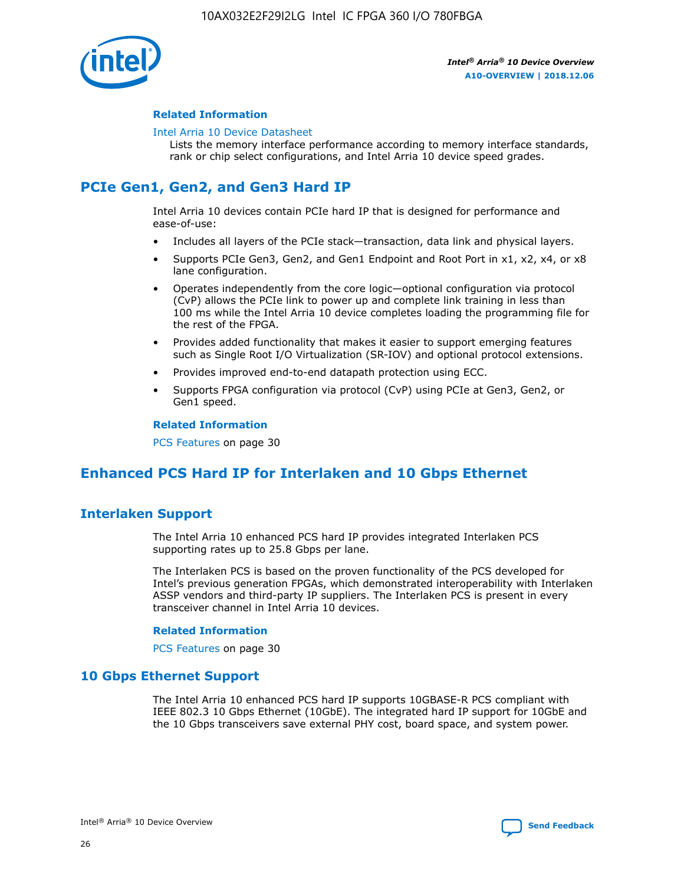

## **Related Information**

#### [Intel Arria 10 Device Datasheet](https://www.intel.com/content/www/us/en/programmable/documentation/mcn1413182292568.html#mcn1413182153340)

Lists the memory interface performance according to memory interface standards, rank or chip select configurations, and Intel Arria 10 device speed grades.

# **PCIe Gen1, Gen2, and Gen3 Hard IP**

Intel Arria 10 devices contain PCIe hard IP that is designed for performance and ease-of-use:

- Includes all layers of the PCIe stack—transaction, data link and physical layers.
- Supports PCIe Gen3, Gen2, and Gen1 Endpoint and Root Port in x1, x2, x4, or x8 lane configuration.
- Operates independently from the core logic—optional configuration via protocol (CvP) allows the PCIe link to power up and complete link training in less than 100 ms while the Intel Arria 10 device completes loading the programming file for the rest of the FPGA.
- Provides added functionality that makes it easier to support emerging features such as Single Root I/O Virtualization (SR-IOV) and optional protocol extensions.
- Provides improved end-to-end datapath protection using ECC.
- Supports FPGA configuration via protocol (CvP) using PCIe at Gen3, Gen2, or Gen1 speed.

#### **Related Information**

PCS Features on page 30

# **Enhanced PCS Hard IP for Interlaken and 10 Gbps Ethernet**

# **Interlaken Support**

The Intel Arria 10 enhanced PCS hard IP provides integrated Interlaken PCS supporting rates up to 25.8 Gbps per lane.

The Interlaken PCS is based on the proven functionality of the PCS developed for Intel's previous generation FPGAs, which demonstrated interoperability with Interlaken ASSP vendors and third-party IP suppliers. The Interlaken PCS is present in every transceiver channel in Intel Arria 10 devices.

## **Related Information**

PCS Features on page 30

# **10 Gbps Ethernet Support**

The Intel Arria 10 enhanced PCS hard IP supports 10GBASE-R PCS compliant with IEEE 802.3 10 Gbps Ethernet (10GbE). The integrated hard IP support for 10GbE and the 10 Gbps transceivers save external PHY cost, board space, and system power.

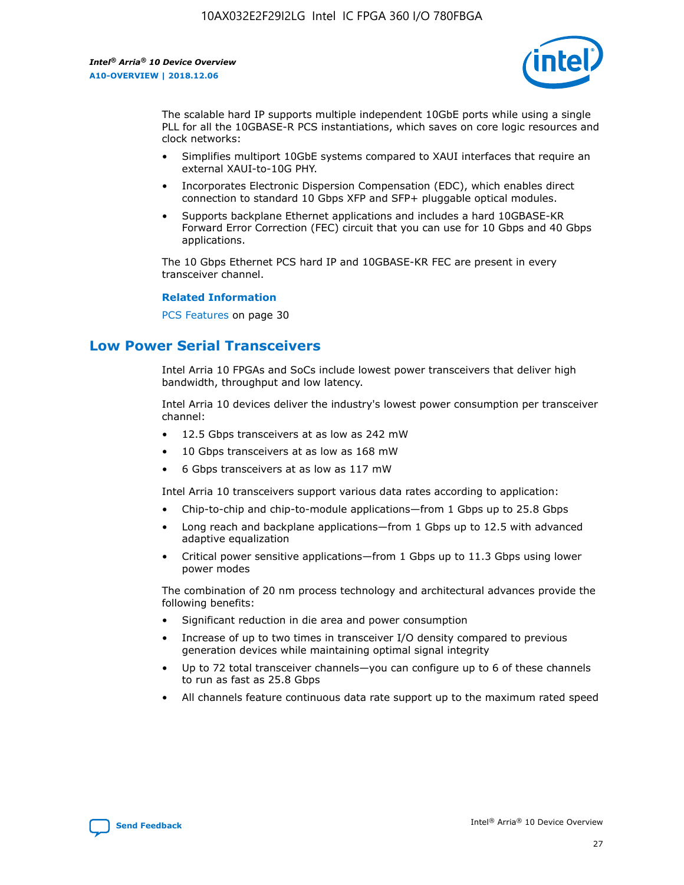

The scalable hard IP supports multiple independent 10GbE ports while using a single PLL for all the 10GBASE-R PCS instantiations, which saves on core logic resources and clock networks:

- Simplifies multiport 10GbE systems compared to XAUI interfaces that require an external XAUI-to-10G PHY.
- Incorporates Electronic Dispersion Compensation (EDC), which enables direct connection to standard 10 Gbps XFP and SFP+ pluggable optical modules.
- Supports backplane Ethernet applications and includes a hard 10GBASE-KR Forward Error Correction (FEC) circuit that you can use for 10 Gbps and 40 Gbps applications.

The 10 Gbps Ethernet PCS hard IP and 10GBASE-KR FEC are present in every transceiver channel.

#### **Related Information**

PCS Features on page 30

# **Low Power Serial Transceivers**

Intel Arria 10 FPGAs and SoCs include lowest power transceivers that deliver high bandwidth, throughput and low latency.

Intel Arria 10 devices deliver the industry's lowest power consumption per transceiver channel:

- 12.5 Gbps transceivers at as low as 242 mW
- 10 Gbps transceivers at as low as 168 mW
- 6 Gbps transceivers at as low as 117 mW

Intel Arria 10 transceivers support various data rates according to application:

- Chip-to-chip and chip-to-module applications—from 1 Gbps up to 25.8 Gbps
- Long reach and backplane applications—from 1 Gbps up to 12.5 with advanced adaptive equalization
- Critical power sensitive applications—from 1 Gbps up to 11.3 Gbps using lower power modes

The combination of 20 nm process technology and architectural advances provide the following benefits:

- Significant reduction in die area and power consumption
- Increase of up to two times in transceiver I/O density compared to previous generation devices while maintaining optimal signal integrity
- Up to 72 total transceiver channels—you can configure up to 6 of these channels to run as fast as 25.8 Gbps
- All channels feature continuous data rate support up to the maximum rated speed

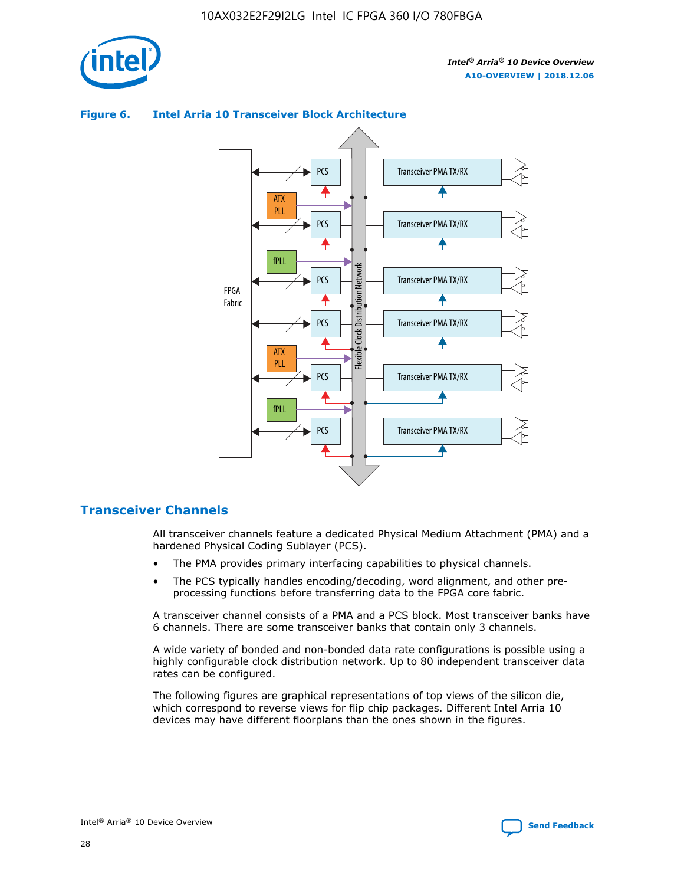

# Transceiver PMA TX/RX PCS ATX PLL Transceiver PMA TX/RX PCS fPLL Network Flexible Clock Distribution Network PCS Transceiver PMA TX/RX FPGA **Clock Distribution** Fabric PCS Transceiver PMA TX/RX ATX Flexible PLL PCS Transceiver PMA TX/RX ▲ fPLL Transceiver PMA TX/RX PCS 4

## **Figure 6. Intel Arria 10 Transceiver Block Architecture**

# **Transceiver Channels**

All transceiver channels feature a dedicated Physical Medium Attachment (PMA) and a hardened Physical Coding Sublayer (PCS).

- The PMA provides primary interfacing capabilities to physical channels.
- The PCS typically handles encoding/decoding, word alignment, and other preprocessing functions before transferring data to the FPGA core fabric.

A transceiver channel consists of a PMA and a PCS block. Most transceiver banks have 6 channels. There are some transceiver banks that contain only 3 channels.

A wide variety of bonded and non-bonded data rate configurations is possible using a highly configurable clock distribution network. Up to 80 independent transceiver data rates can be configured.

The following figures are graphical representations of top views of the silicon die, which correspond to reverse views for flip chip packages. Different Intel Arria 10 devices may have different floorplans than the ones shown in the figures.

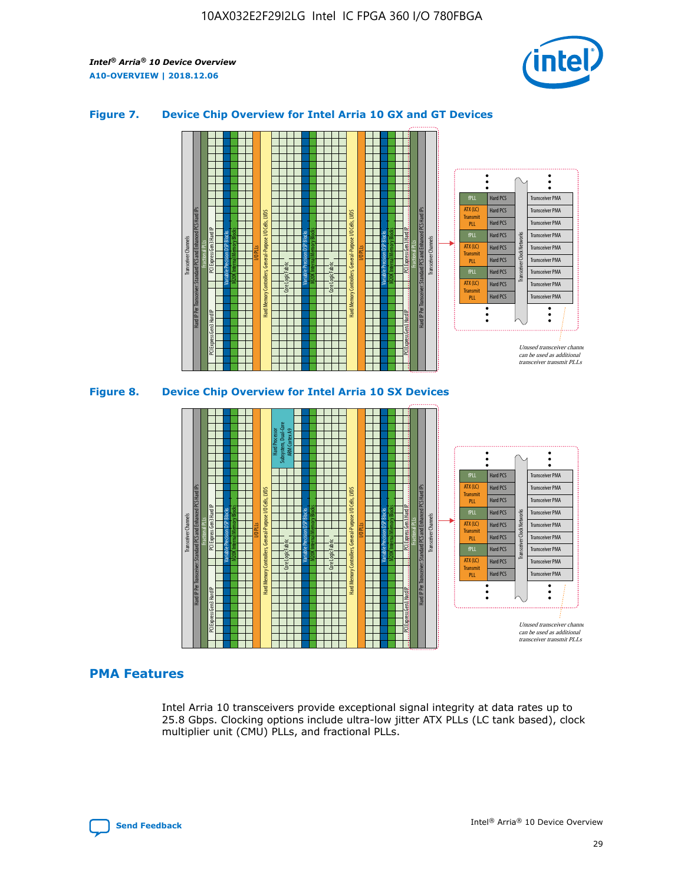

## **Figure 7. Device Chip Overview for Intel Arria 10 GX and GT Devices**





## **PMA Features**

Intel Arria 10 transceivers provide exceptional signal integrity at data rates up to 25.8 Gbps. Clocking options include ultra-low jitter ATX PLLs (LC tank based), clock multiplier unit (CMU) PLLs, and fractional PLLs.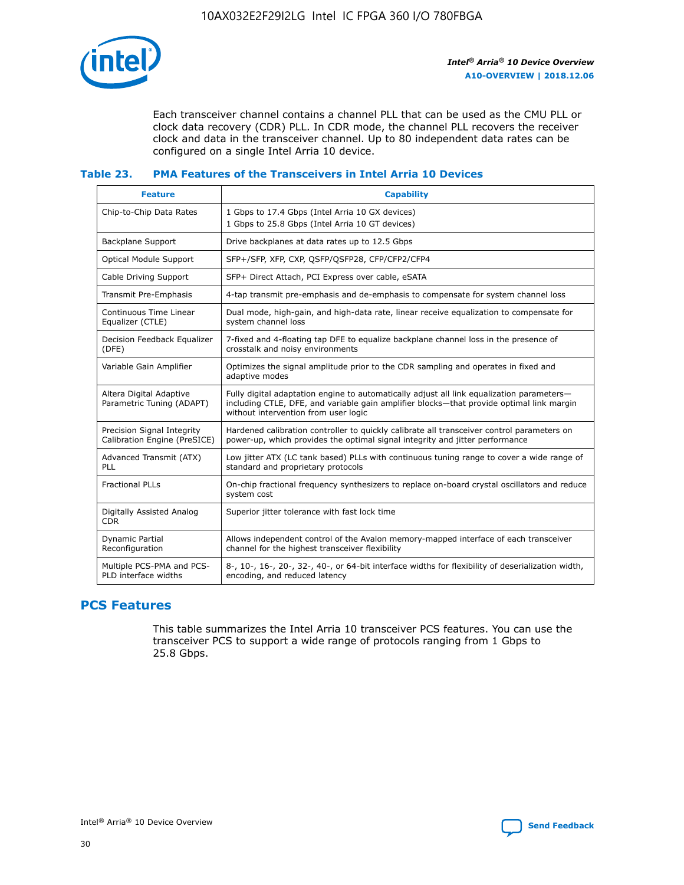

Each transceiver channel contains a channel PLL that can be used as the CMU PLL or clock data recovery (CDR) PLL. In CDR mode, the channel PLL recovers the receiver clock and data in the transceiver channel. Up to 80 independent data rates can be configured on a single Intel Arria 10 device.

## **Table 23. PMA Features of the Transceivers in Intel Arria 10 Devices**

| <b>Feature</b>                                             | <b>Capability</b>                                                                                                                                                                                                             |
|------------------------------------------------------------|-------------------------------------------------------------------------------------------------------------------------------------------------------------------------------------------------------------------------------|
| Chip-to-Chip Data Rates                                    | 1 Gbps to 17.4 Gbps (Intel Arria 10 GX devices)<br>1 Gbps to 25.8 Gbps (Intel Arria 10 GT devices)                                                                                                                            |
| Backplane Support                                          | Drive backplanes at data rates up to 12.5 Gbps                                                                                                                                                                                |
| Optical Module Support                                     | SFP+/SFP, XFP, CXP, QSFP/QSFP28, CFP/CFP2/CFP4                                                                                                                                                                                |
| Cable Driving Support                                      | SFP+ Direct Attach, PCI Express over cable, eSATA                                                                                                                                                                             |
| Transmit Pre-Emphasis                                      | 4-tap transmit pre-emphasis and de-emphasis to compensate for system channel loss                                                                                                                                             |
| Continuous Time Linear<br>Equalizer (CTLE)                 | Dual mode, high-gain, and high-data rate, linear receive equalization to compensate for<br>system channel loss                                                                                                                |
| Decision Feedback Equalizer<br>(DFE)                       | 7-fixed and 4-floating tap DFE to equalize backplane channel loss in the presence of<br>crosstalk and noisy environments                                                                                                      |
| Variable Gain Amplifier                                    | Optimizes the signal amplitude prior to the CDR sampling and operates in fixed and<br>adaptive modes                                                                                                                          |
| Altera Digital Adaptive<br>Parametric Tuning (ADAPT)       | Fully digital adaptation engine to automatically adjust all link equalization parameters-<br>including CTLE, DFE, and variable gain amplifier blocks—that provide optimal link margin<br>without intervention from user logic |
| Precision Signal Integrity<br>Calibration Engine (PreSICE) | Hardened calibration controller to quickly calibrate all transceiver control parameters on<br>power-up, which provides the optimal signal integrity and jitter performance                                                    |
| Advanced Transmit (ATX)<br><b>PLL</b>                      | Low jitter ATX (LC tank based) PLLs with continuous tuning range to cover a wide range of<br>standard and proprietary protocols                                                                                               |
| <b>Fractional PLLs</b>                                     | On-chip fractional frequency synthesizers to replace on-board crystal oscillators and reduce<br>system cost                                                                                                                   |
| Digitally Assisted Analog<br><b>CDR</b>                    | Superior jitter tolerance with fast lock time                                                                                                                                                                                 |
| Dynamic Partial<br>Reconfiguration                         | Allows independent control of the Avalon memory-mapped interface of each transceiver<br>channel for the highest transceiver flexibility                                                                                       |
| Multiple PCS-PMA and PCS-<br>PLD interface widths          | 8-, 10-, 16-, 20-, 32-, 40-, or 64-bit interface widths for flexibility of deserialization width,<br>encoding, and reduced latency                                                                                            |

# **PCS Features**

This table summarizes the Intel Arria 10 transceiver PCS features. You can use the transceiver PCS to support a wide range of protocols ranging from 1 Gbps to 25.8 Gbps.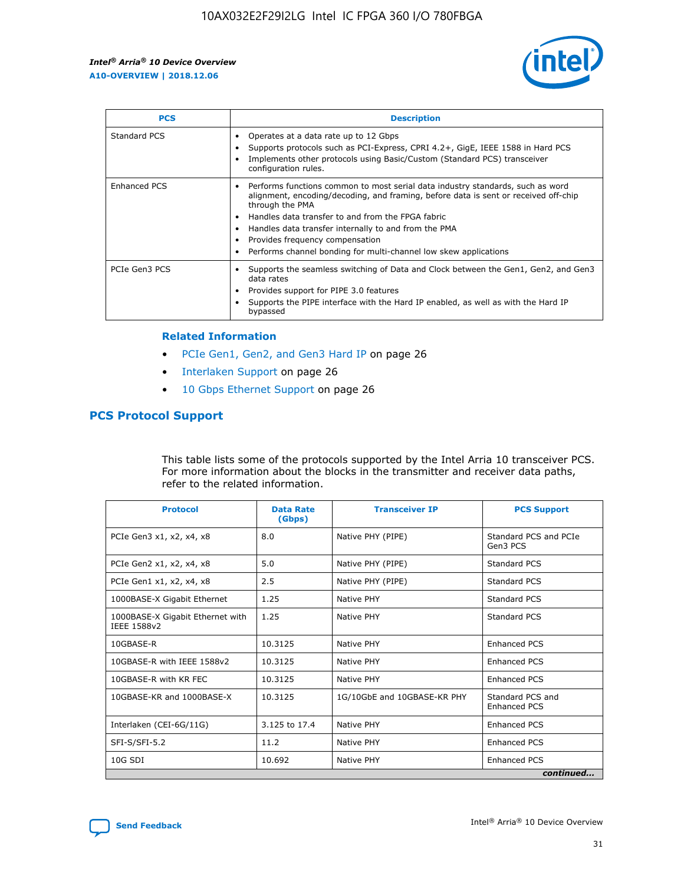

| <b>PCS</b>          | <b>Description</b>                                                                                                                                                                                                                                                                                                                                                                                             |
|---------------------|----------------------------------------------------------------------------------------------------------------------------------------------------------------------------------------------------------------------------------------------------------------------------------------------------------------------------------------------------------------------------------------------------------------|
| Standard PCS        | Operates at a data rate up to 12 Gbps<br>Supports protocols such as PCI-Express, CPRI 4.2+, GigE, IEEE 1588 in Hard PCS<br>Implements other protocols using Basic/Custom (Standard PCS) transceiver<br>configuration rules.                                                                                                                                                                                    |
| <b>Enhanced PCS</b> | Performs functions common to most serial data industry standards, such as word<br>alignment, encoding/decoding, and framing, before data is sent or received off-chip<br>through the PMA<br>• Handles data transfer to and from the FPGA fabric<br>Handles data transfer internally to and from the PMA<br>Provides frequency compensation<br>Performs channel bonding for multi-channel low skew applications |
| PCIe Gen3 PCS       | Supports the seamless switching of Data and Clock between the Gen1, Gen2, and Gen3<br>data rates<br>Provides support for PIPE 3.0 features<br>Supports the PIPE interface with the Hard IP enabled, as well as with the Hard IP<br>bypassed                                                                                                                                                                    |

#### **Related Information**

- PCIe Gen1, Gen2, and Gen3 Hard IP on page 26
- Interlaken Support on page 26
- 10 Gbps Ethernet Support on page 26

# **PCS Protocol Support**

This table lists some of the protocols supported by the Intel Arria 10 transceiver PCS. For more information about the blocks in the transmitter and receiver data paths, refer to the related information.

| <b>Protocol</b>                                 | <b>Data Rate</b><br>(Gbps) | <b>Transceiver IP</b>       | <b>PCS Support</b>                      |
|-------------------------------------------------|----------------------------|-----------------------------|-----------------------------------------|
| PCIe Gen3 x1, x2, x4, x8                        | 8.0                        | Native PHY (PIPE)           | Standard PCS and PCIe<br>Gen3 PCS       |
| PCIe Gen2 x1, x2, x4, x8                        | 5.0                        | Native PHY (PIPE)           | <b>Standard PCS</b>                     |
| PCIe Gen1 x1, x2, x4, x8                        | 2.5                        | Native PHY (PIPE)           | Standard PCS                            |
| 1000BASE-X Gigabit Ethernet                     | 1.25                       | Native PHY                  | <b>Standard PCS</b>                     |
| 1000BASE-X Gigabit Ethernet with<br>IEEE 1588v2 | 1.25                       | Native PHY                  | Standard PCS                            |
| 10GBASE-R                                       | 10.3125                    | Native PHY                  | <b>Enhanced PCS</b>                     |
| 10GBASE-R with IEEE 1588v2                      | 10.3125                    | Native PHY                  | <b>Enhanced PCS</b>                     |
| 10GBASE-R with KR FEC                           | 10.3125                    | Native PHY                  | <b>Enhanced PCS</b>                     |
| 10GBASE-KR and 1000BASE-X                       | 10.3125                    | 1G/10GbE and 10GBASE-KR PHY | Standard PCS and<br><b>Enhanced PCS</b> |
| Interlaken (CEI-6G/11G)                         | 3.125 to 17.4              | Native PHY                  | <b>Enhanced PCS</b>                     |
| SFI-S/SFI-5.2                                   | 11.2                       | Native PHY                  | <b>Enhanced PCS</b>                     |
| $10G$ SDI                                       | 10.692                     | Native PHY                  | <b>Enhanced PCS</b>                     |
|                                                 |                            |                             | continued                               |

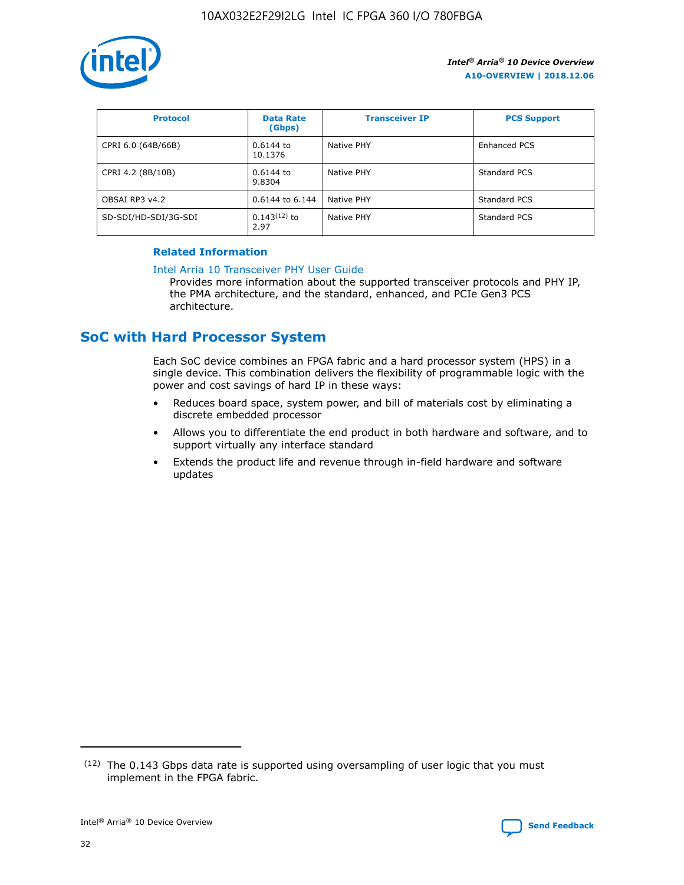

| <b>Protocol</b>      | <b>Data Rate</b><br>(Gbps) | <b>Transceiver IP</b> | <b>PCS Support</b> |
|----------------------|----------------------------|-----------------------|--------------------|
| CPRI 6.0 (64B/66B)   | 0.6144 to<br>10.1376       | Native PHY            | Enhanced PCS       |
| CPRI 4.2 (8B/10B)    | 0.6144 to<br>9.8304        | Native PHY            | Standard PCS       |
| OBSAI RP3 v4.2       | 0.6144 to 6.144            | Native PHY            | Standard PCS       |
| SD-SDI/HD-SDI/3G-SDI | $0.143(12)$ to<br>2.97     | Native PHY            | Standard PCS       |

## **Related Information**

#### [Intel Arria 10 Transceiver PHY User Guide](https://www.intel.com/content/www/us/en/programmable/documentation/nik1398707230472.html#nik1398707091164)

Provides more information about the supported transceiver protocols and PHY IP, the PMA architecture, and the standard, enhanced, and PCIe Gen3 PCS architecture.

# **SoC with Hard Processor System**

Each SoC device combines an FPGA fabric and a hard processor system (HPS) in a single device. This combination delivers the flexibility of programmable logic with the power and cost savings of hard IP in these ways:

- Reduces board space, system power, and bill of materials cost by eliminating a discrete embedded processor
- Allows you to differentiate the end product in both hardware and software, and to support virtually any interface standard
- Extends the product life and revenue through in-field hardware and software updates

 $(12)$  The 0.143 Gbps data rate is supported using oversampling of user logic that you must implement in the FPGA fabric.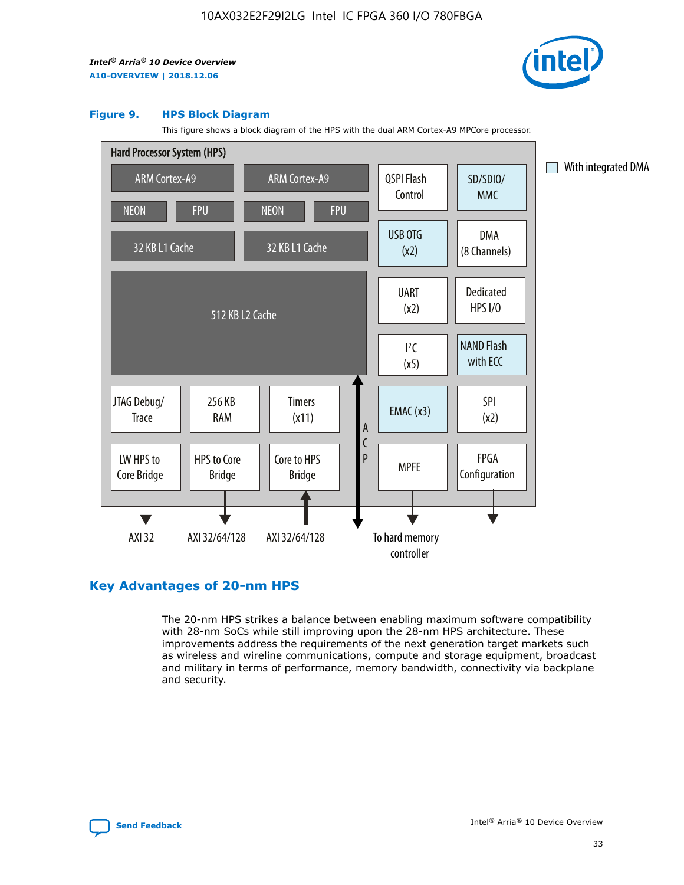

#### **Figure 9. HPS Block Diagram**

This figure shows a block diagram of the HPS with the dual ARM Cortex-A9 MPCore processor.



# **Key Advantages of 20-nm HPS**

The 20-nm HPS strikes a balance between enabling maximum software compatibility with 28-nm SoCs while still improving upon the 28-nm HPS architecture. These improvements address the requirements of the next generation target markets such as wireless and wireline communications, compute and storage equipment, broadcast and military in terms of performance, memory bandwidth, connectivity via backplane and security.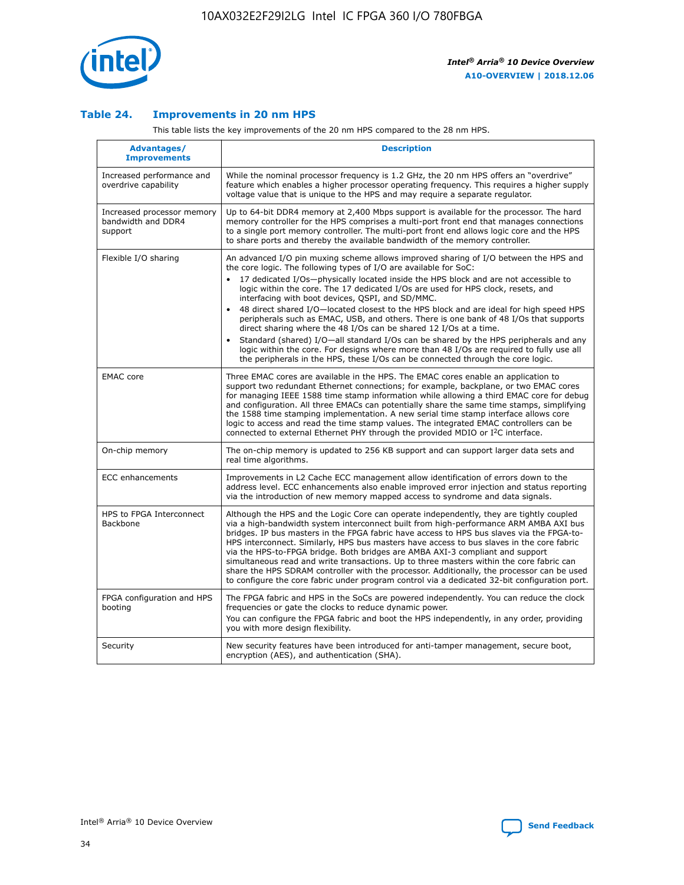

## **Table 24. Improvements in 20 nm HPS**

This table lists the key improvements of the 20 nm HPS compared to the 28 nm HPS.

| Advantages/<br><b>Improvements</b>                          | <b>Description</b>                                                                                                                                                                                                                                                                                                                                                                                                                                                                                                                                                                                                                                                                                                                                                                                                                                                                                                      |
|-------------------------------------------------------------|-------------------------------------------------------------------------------------------------------------------------------------------------------------------------------------------------------------------------------------------------------------------------------------------------------------------------------------------------------------------------------------------------------------------------------------------------------------------------------------------------------------------------------------------------------------------------------------------------------------------------------------------------------------------------------------------------------------------------------------------------------------------------------------------------------------------------------------------------------------------------------------------------------------------------|
| Increased performance and<br>overdrive capability           | While the nominal processor frequency is 1.2 GHz, the 20 nm HPS offers an "overdrive"<br>feature which enables a higher processor operating frequency. This requires a higher supply<br>voltage value that is unique to the HPS and may require a separate regulator.                                                                                                                                                                                                                                                                                                                                                                                                                                                                                                                                                                                                                                                   |
| Increased processor memory<br>bandwidth and DDR4<br>support | Up to 64-bit DDR4 memory at 2,400 Mbps support is available for the processor. The hard<br>memory controller for the HPS comprises a multi-port front end that manages connections<br>to a single port memory controller. The multi-port front end allows logic core and the HPS<br>to share ports and thereby the available bandwidth of the memory controller.                                                                                                                                                                                                                                                                                                                                                                                                                                                                                                                                                        |
| Flexible I/O sharing                                        | An advanced I/O pin muxing scheme allows improved sharing of I/O between the HPS and<br>the core logic. The following types of I/O are available for SoC:<br>17 dedicated I/Os-physically located inside the HPS block and are not accessible to<br>logic within the core. The 17 dedicated I/Os are used for HPS clock, resets, and<br>interfacing with boot devices, QSPI, and SD/MMC.<br>48 direct shared I/O-located closest to the HPS block and are ideal for high speed HPS<br>peripherals such as EMAC, USB, and others. There is one bank of 48 I/Os that supports<br>direct sharing where the 48 I/Os can be shared 12 I/Os at a time.<br>Standard (shared) I/O-all standard I/Os can be shared by the HPS peripherals and any<br>logic within the core. For designs where more than 48 I/Os are reguired to fully use all<br>the peripherals in the HPS, these I/Os can be connected through the core logic. |
| <b>EMAC</b> core                                            | Three EMAC cores are available in the HPS. The EMAC cores enable an application to<br>support two redundant Ethernet connections; for example, backplane, or two EMAC cores<br>for managing IEEE 1588 time stamp information while allowing a third EMAC core for debug<br>and configuration. All three EMACs can potentially share the same time stamps, simplifying<br>the 1588 time stamping implementation. A new serial time stamp interface allows core<br>logic to access and read the time stamp values. The integrated EMAC controllers can be<br>connected to external Ethernet PHY through the provided MDIO or I <sup>2</sup> C interface.                                                                                                                                                                                                                                                                  |
| On-chip memory                                              | The on-chip memory is updated to 256 KB support and can support larger data sets and<br>real time algorithms.                                                                                                                                                                                                                                                                                                                                                                                                                                                                                                                                                                                                                                                                                                                                                                                                           |
| <b>ECC</b> enhancements                                     | Improvements in L2 Cache ECC management allow identification of errors down to the<br>address level. ECC enhancements also enable improved error injection and status reporting<br>via the introduction of new memory mapped access to syndrome and data signals.                                                                                                                                                                                                                                                                                                                                                                                                                                                                                                                                                                                                                                                       |
| HPS to FPGA Interconnect<br>Backbone                        | Although the HPS and the Logic Core can operate independently, they are tightly coupled<br>via a high-bandwidth system interconnect built from high-performance ARM AMBA AXI bus<br>bridges. IP bus masters in the FPGA fabric have access to HPS bus slaves via the FPGA-to-<br>HPS interconnect. Similarly, HPS bus masters have access to bus slaves in the core fabric<br>via the HPS-to-FPGA bridge. Both bridges are AMBA AXI-3 compliant and support<br>simultaneous read and write transactions. Up to three masters within the core fabric can<br>share the HPS SDRAM controller with the processor. Additionally, the processor can be used<br>to configure the core fabric under program control via a dedicated 32-bit configuration port.                                                                                                                                                                  |
| FPGA configuration and HPS<br>booting                       | The FPGA fabric and HPS in the SoCs are powered independently. You can reduce the clock<br>frequencies or gate the clocks to reduce dynamic power.<br>You can configure the FPGA fabric and boot the HPS independently, in any order, providing<br>you with more design flexibility.                                                                                                                                                                                                                                                                                                                                                                                                                                                                                                                                                                                                                                    |
| Security                                                    | New security features have been introduced for anti-tamper management, secure boot,<br>encryption (AES), and authentication (SHA).                                                                                                                                                                                                                                                                                                                                                                                                                                                                                                                                                                                                                                                                                                                                                                                      |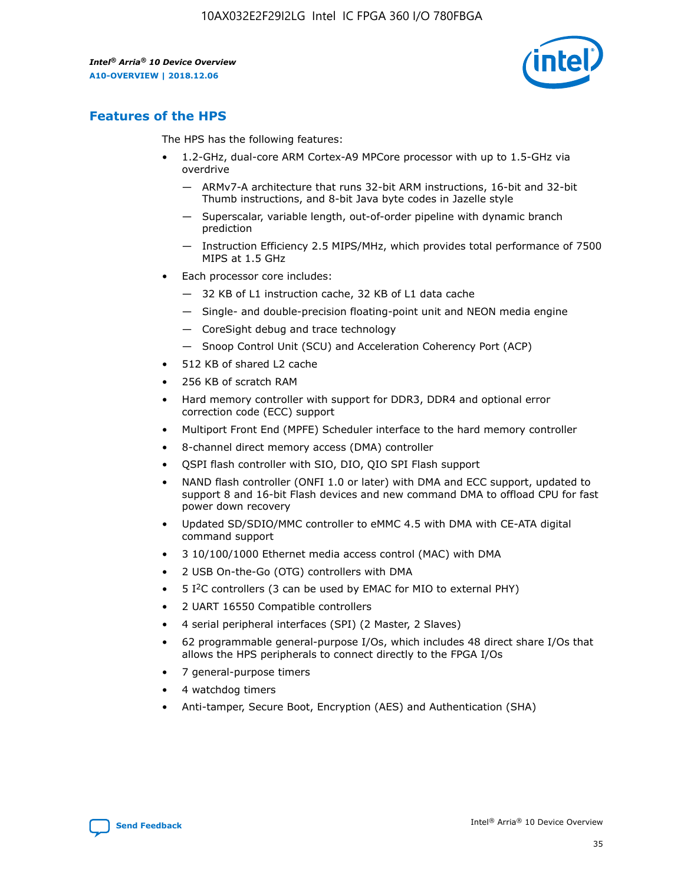

# **Features of the HPS**

The HPS has the following features:

- 1.2-GHz, dual-core ARM Cortex-A9 MPCore processor with up to 1.5-GHz via overdrive
	- ARMv7-A architecture that runs 32-bit ARM instructions, 16-bit and 32-bit Thumb instructions, and 8-bit Java byte codes in Jazelle style
	- Superscalar, variable length, out-of-order pipeline with dynamic branch prediction
	- Instruction Efficiency 2.5 MIPS/MHz, which provides total performance of 7500 MIPS at 1.5 GHz
- Each processor core includes:
	- 32 KB of L1 instruction cache, 32 KB of L1 data cache
	- Single- and double-precision floating-point unit and NEON media engine
	- CoreSight debug and trace technology
	- Snoop Control Unit (SCU) and Acceleration Coherency Port (ACP)
- 512 KB of shared L2 cache
- 256 KB of scratch RAM
- Hard memory controller with support for DDR3, DDR4 and optional error correction code (ECC) support
- Multiport Front End (MPFE) Scheduler interface to the hard memory controller
- 8-channel direct memory access (DMA) controller
- QSPI flash controller with SIO, DIO, QIO SPI Flash support
- NAND flash controller (ONFI 1.0 or later) with DMA and ECC support, updated to support 8 and 16-bit Flash devices and new command DMA to offload CPU for fast power down recovery
- Updated SD/SDIO/MMC controller to eMMC 4.5 with DMA with CE-ATA digital command support
- 3 10/100/1000 Ethernet media access control (MAC) with DMA
- 2 USB On-the-Go (OTG) controllers with DMA
- $\bullet$  5 I<sup>2</sup>C controllers (3 can be used by EMAC for MIO to external PHY)
- 2 UART 16550 Compatible controllers
- 4 serial peripheral interfaces (SPI) (2 Master, 2 Slaves)
- 62 programmable general-purpose I/Os, which includes 48 direct share I/Os that allows the HPS peripherals to connect directly to the FPGA I/Os
- 7 general-purpose timers
- 4 watchdog timers
- Anti-tamper, Secure Boot, Encryption (AES) and Authentication (SHA)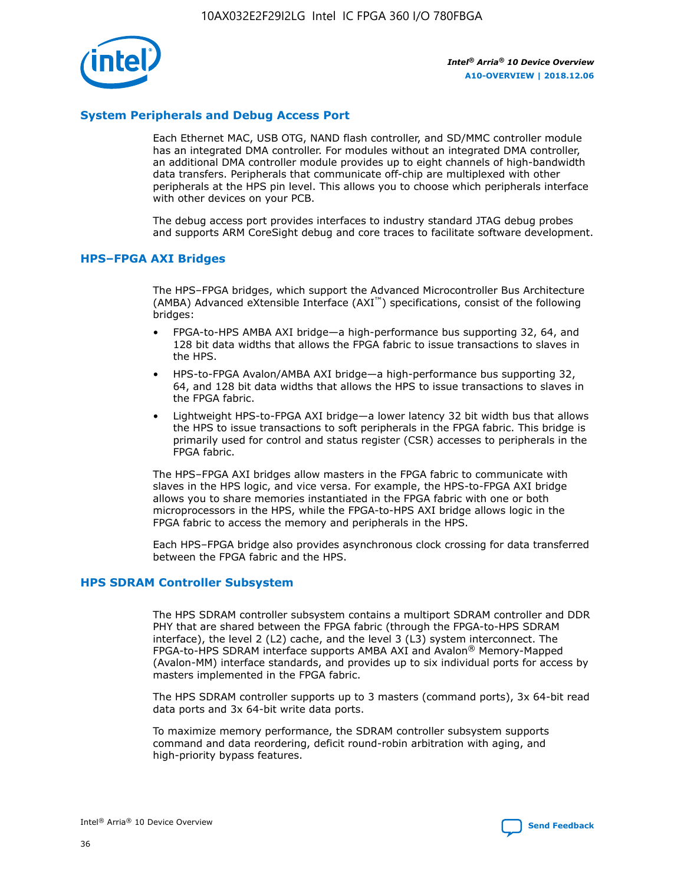

# **System Peripherals and Debug Access Port**

Each Ethernet MAC, USB OTG, NAND flash controller, and SD/MMC controller module has an integrated DMA controller. For modules without an integrated DMA controller, an additional DMA controller module provides up to eight channels of high-bandwidth data transfers. Peripherals that communicate off-chip are multiplexed with other peripherals at the HPS pin level. This allows you to choose which peripherals interface with other devices on your PCB.

The debug access port provides interfaces to industry standard JTAG debug probes and supports ARM CoreSight debug and core traces to facilitate software development.

#### **HPS–FPGA AXI Bridges**

The HPS–FPGA bridges, which support the Advanced Microcontroller Bus Architecture (AMBA) Advanced eXtensible Interface (AXI™) specifications, consist of the following bridges:

- FPGA-to-HPS AMBA AXI bridge—a high-performance bus supporting 32, 64, and 128 bit data widths that allows the FPGA fabric to issue transactions to slaves in the HPS.
- HPS-to-FPGA Avalon/AMBA AXI bridge—a high-performance bus supporting 32, 64, and 128 bit data widths that allows the HPS to issue transactions to slaves in the FPGA fabric.
- Lightweight HPS-to-FPGA AXI bridge—a lower latency 32 bit width bus that allows the HPS to issue transactions to soft peripherals in the FPGA fabric. This bridge is primarily used for control and status register (CSR) accesses to peripherals in the FPGA fabric.

The HPS–FPGA AXI bridges allow masters in the FPGA fabric to communicate with slaves in the HPS logic, and vice versa. For example, the HPS-to-FPGA AXI bridge allows you to share memories instantiated in the FPGA fabric with one or both microprocessors in the HPS, while the FPGA-to-HPS AXI bridge allows logic in the FPGA fabric to access the memory and peripherals in the HPS.

Each HPS–FPGA bridge also provides asynchronous clock crossing for data transferred between the FPGA fabric and the HPS.

#### **HPS SDRAM Controller Subsystem**

The HPS SDRAM controller subsystem contains a multiport SDRAM controller and DDR PHY that are shared between the FPGA fabric (through the FPGA-to-HPS SDRAM interface), the level 2 (L2) cache, and the level 3 (L3) system interconnect. The FPGA-to-HPS SDRAM interface supports AMBA AXI and Avalon® Memory-Mapped (Avalon-MM) interface standards, and provides up to six individual ports for access by masters implemented in the FPGA fabric.

The HPS SDRAM controller supports up to 3 masters (command ports), 3x 64-bit read data ports and 3x 64-bit write data ports.

To maximize memory performance, the SDRAM controller subsystem supports command and data reordering, deficit round-robin arbitration with aging, and high-priority bypass features.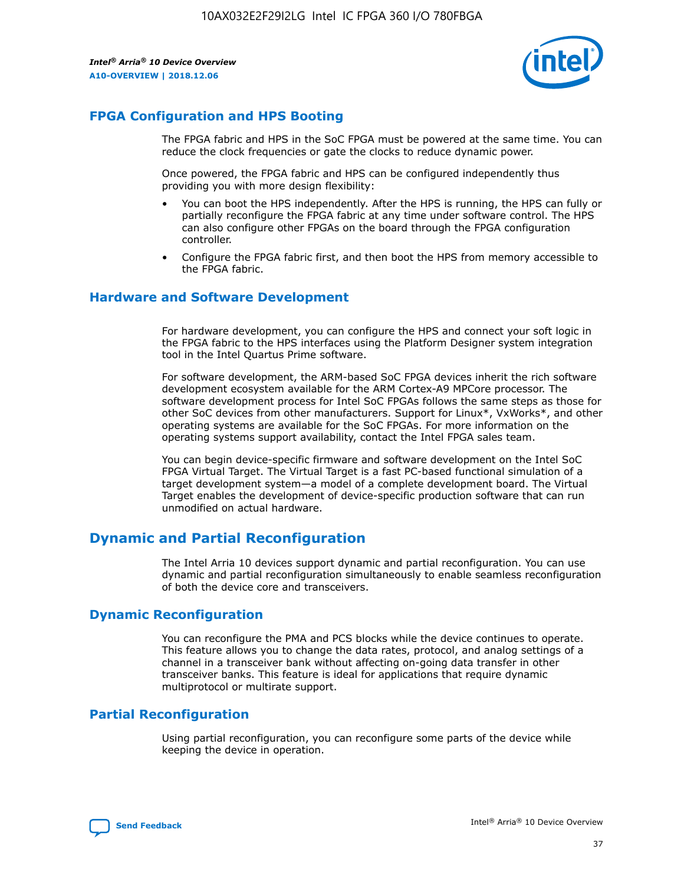

# **FPGA Configuration and HPS Booting**

The FPGA fabric and HPS in the SoC FPGA must be powered at the same time. You can reduce the clock frequencies or gate the clocks to reduce dynamic power.

Once powered, the FPGA fabric and HPS can be configured independently thus providing you with more design flexibility:

- You can boot the HPS independently. After the HPS is running, the HPS can fully or partially reconfigure the FPGA fabric at any time under software control. The HPS can also configure other FPGAs on the board through the FPGA configuration controller.
- Configure the FPGA fabric first, and then boot the HPS from memory accessible to the FPGA fabric.

# **Hardware and Software Development**

For hardware development, you can configure the HPS and connect your soft logic in the FPGA fabric to the HPS interfaces using the Platform Designer system integration tool in the Intel Quartus Prime software.

For software development, the ARM-based SoC FPGA devices inherit the rich software development ecosystem available for the ARM Cortex-A9 MPCore processor. The software development process for Intel SoC FPGAs follows the same steps as those for other SoC devices from other manufacturers. Support for Linux\*, VxWorks\*, and other operating systems are available for the SoC FPGAs. For more information on the operating systems support availability, contact the Intel FPGA sales team.

You can begin device-specific firmware and software development on the Intel SoC FPGA Virtual Target. The Virtual Target is a fast PC-based functional simulation of a target development system—a model of a complete development board. The Virtual Target enables the development of device-specific production software that can run unmodified on actual hardware.

# **Dynamic and Partial Reconfiguration**

The Intel Arria 10 devices support dynamic and partial reconfiguration. You can use dynamic and partial reconfiguration simultaneously to enable seamless reconfiguration of both the device core and transceivers.

# **Dynamic Reconfiguration**

You can reconfigure the PMA and PCS blocks while the device continues to operate. This feature allows you to change the data rates, protocol, and analog settings of a channel in a transceiver bank without affecting on-going data transfer in other transceiver banks. This feature is ideal for applications that require dynamic multiprotocol or multirate support.

# **Partial Reconfiguration**

Using partial reconfiguration, you can reconfigure some parts of the device while keeping the device in operation.

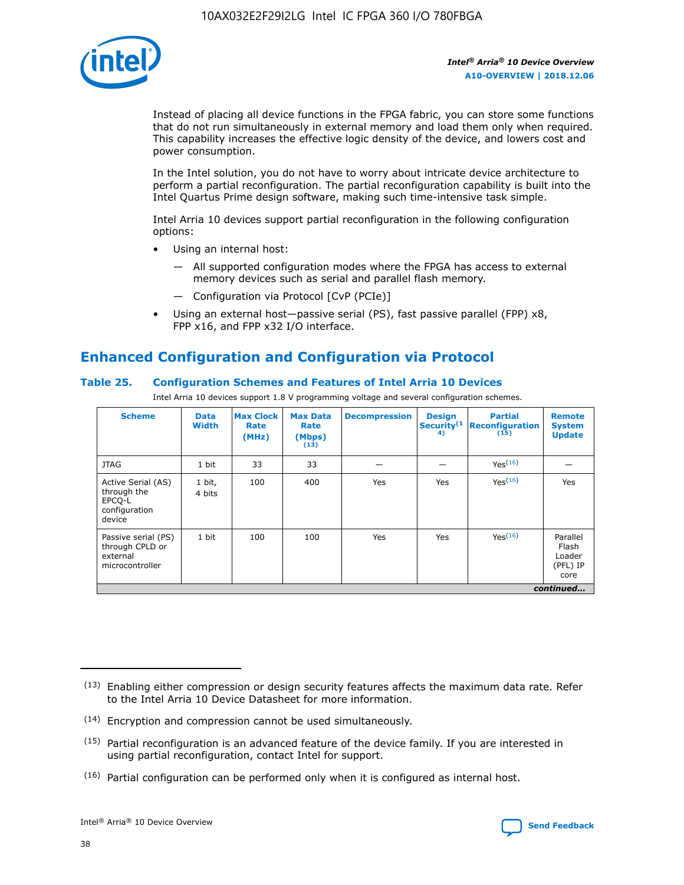

Instead of placing all device functions in the FPGA fabric, you can store some functions that do not run simultaneously in external memory and load them only when required. This capability increases the effective logic density of the device, and lowers cost and power consumption.

In the Intel solution, you do not have to worry about intricate device architecture to perform a partial reconfiguration. The partial reconfiguration capability is built into the Intel Quartus Prime design software, making such time-intensive task simple.

Intel Arria 10 devices support partial reconfiguration in the following configuration options:

- Using an internal host:
	- All supported configuration modes where the FPGA has access to external memory devices such as serial and parallel flash memory.
	- Configuration via Protocol [CvP (PCIe)]
- Using an external host—passive serial (PS), fast passive parallel (FPP) x8, FPP x16, and FPP x32 I/O interface.

# **Enhanced Configuration and Configuration via Protocol**

## **Table 25. Configuration Schemes and Features of Intel Arria 10 Devices**

Intel Arria 10 devices support 1.8 V programming voltage and several configuration schemes.

| <b>Scheme</b>                                                          | <b>Data</b><br><b>Width</b> | <b>Max Clock</b><br>Rate<br>(MHz) | <b>Max Data</b><br>Rate<br>(Mbps)<br>(13) | <b>Decompression</b> | <b>Design</b><br>Security <sup>(1</sup><br>4) | <b>Partial</b><br>Reconfiguration<br>(15) | <b>Remote</b><br><b>System</b><br><b>Update</b> |
|------------------------------------------------------------------------|-----------------------------|-----------------------------------|-------------------------------------------|----------------------|-----------------------------------------------|-------------------------------------------|-------------------------------------------------|
| <b>JTAG</b>                                                            | 1 bit                       | 33                                | 33                                        |                      |                                               | Yes <sup>(16)</sup>                       |                                                 |
| Active Serial (AS)<br>through the<br>EPCO-L<br>configuration<br>device | 1 bit,<br>4 bits            | 100                               | 400                                       | Yes                  | Yes                                           | $Y_{PS}(16)$                              | Yes                                             |
| Passive serial (PS)<br>through CPLD or<br>external<br>microcontroller  | 1 bit                       | 100                               | 100                                       | Yes                  | Yes                                           | Yes(16)                                   | Parallel<br>Flash<br>Loader<br>(PFL) IP<br>core |
|                                                                        | continued                   |                                   |                                           |                      |                                               |                                           |                                                 |

<sup>(13)</sup> Enabling either compression or design security features affects the maximum data rate. Refer to the Intel Arria 10 Device Datasheet for more information.

<sup>(14)</sup> Encryption and compression cannot be used simultaneously.

 $<sup>(15)</sup>$  Partial reconfiguration is an advanced feature of the device family. If you are interested in</sup> using partial reconfiguration, contact Intel for support.

 $(16)$  Partial configuration can be performed only when it is configured as internal host.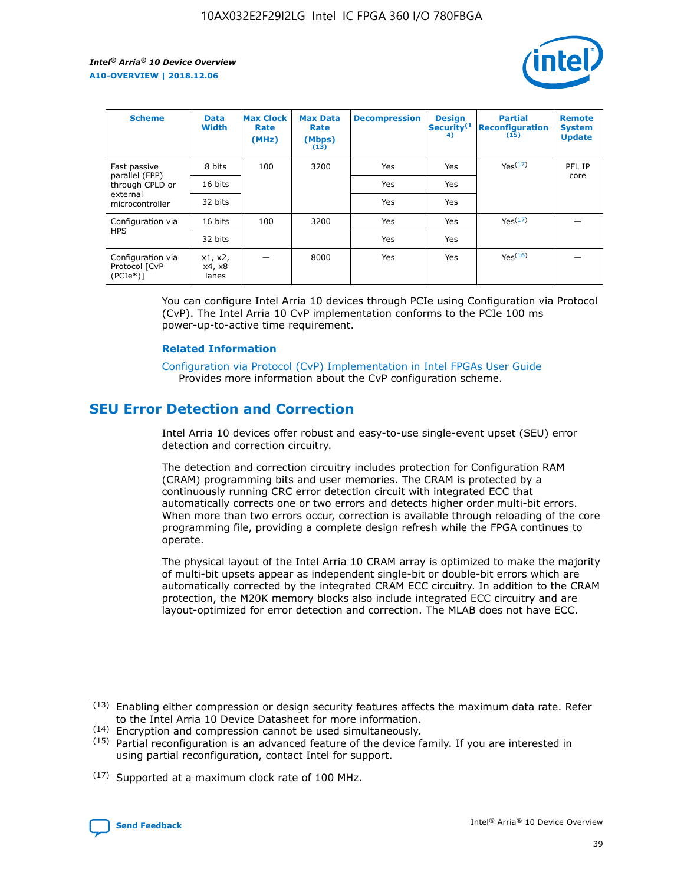

| <b>Scheme</b>                                    | <b>Data</b><br><b>Width</b> | <b>Max Clock</b><br>Rate<br>(MHz) | <b>Max Data</b><br>Rate<br>(Mbps)<br>(13) | <b>Decompression</b> | <b>Design</b><br>Security <sup>(1</sup><br>4) | <b>Partial</b><br><b>Reconfiguration</b><br>(15) | <b>Remote</b><br><b>System</b><br><b>Update</b> |
|--------------------------------------------------|-----------------------------|-----------------------------------|-------------------------------------------|----------------------|-----------------------------------------------|--------------------------------------------------|-------------------------------------------------|
| Fast passive                                     | 8 bits                      | 100                               | 3200                                      | Yes                  | Yes                                           | Yes(17)                                          | PFL IP                                          |
| parallel (FPP)<br>through CPLD or                | 16 bits                     |                                   |                                           | Yes                  | Yes                                           |                                                  | core                                            |
| external<br>microcontroller                      | 32 bits                     |                                   |                                           | Yes                  | Yes                                           |                                                  |                                                 |
| Configuration via                                | 16 bits                     | 100                               | 3200                                      | Yes                  | Yes                                           | Yes <sup>(17)</sup>                              |                                                 |
| <b>HPS</b>                                       | 32 bits                     |                                   |                                           | Yes                  | Yes                                           |                                                  |                                                 |
| Configuration via<br>Protocol [CvP<br>$(PCIe^*)$ | x1, x2,<br>x4, x8<br>lanes  |                                   | 8000                                      | Yes                  | Yes                                           | Yes(16)                                          |                                                 |

You can configure Intel Arria 10 devices through PCIe using Configuration via Protocol (CvP). The Intel Arria 10 CvP implementation conforms to the PCIe 100 ms power-up-to-active time requirement.

## **Related Information**

[Configuration via Protocol \(CvP\) Implementation in Intel FPGAs User Guide](https://www.intel.com/content/www/us/en/programmable/documentation/dsu1441819344145.html#dsu1442269728522) Provides more information about the CvP configuration scheme.

# **SEU Error Detection and Correction**

Intel Arria 10 devices offer robust and easy-to-use single-event upset (SEU) error detection and correction circuitry.

The detection and correction circuitry includes protection for Configuration RAM (CRAM) programming bits and user memories. The CRAM is protected by a continuously running CRC error detection circuit with integrated ECC that automatically corrects one or two errors and detects higher order multi-bit errors. When more than two errors occur, correction is available through reloading of the core programming file, providing a complete design refresh while the FPGA continues to operate.

The physical layout of the Intel Arria 10 CRAM array is optimized to make the majority of multi-bit upsets appear as independent single-bit or double-bit errors which are automatically corrected by the integrated CRAM ECC circuitry. In addition to the CRAM protection, the M20K memory blocks also include integrated ECC circuitry and are layout-optimized for error detection and correction. The MLAB does not have ECC.

(14) Encryption and compression cannot be used simultaneously.

<sup>(17)</sup> Supported at a maximum clock rate of 100 MHz.



 $(13)$  Enabling either compression or design security features affects the maximum data rate. Refer to the Intel Arria 10 Device Datasheet for more information.

 $(15)$  Partial reconfiguration is an advanced feature of the device family. If you are interested in using partial reconfiguration, contact Intel for support.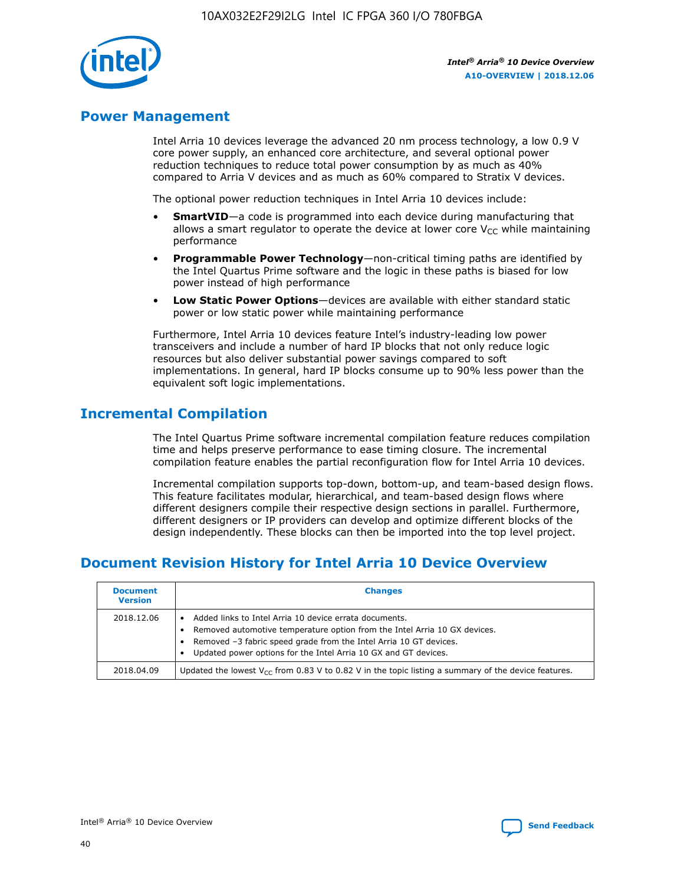

# **Power Management**

Intel Arria 10 devices leverage the advanced 20 nm process technology, a low 0.9 V core power supply, an enhanced core architecture, and several optional power reduction techniques to reduce total power consumption by as much as 40% compared to Arria V devices and as much as 60% compared to Stratix V devices.

The optional power reduction techniques in Intel Arria 10 devices include:

- **SmartVID**—a code is programmed into each device during manufacturing that allows a smart regulator to operate the device at lower core  $V_{CC}$  while maintaining performance
- **Programmable Power Technology**—non-critical timing paths are identified by the Intel Quartus Prime software and the logic in these paths is biased for low power instead of high performance
- **Low Static Power Options**—devices are available with either standard static power or low static power while maintaining performance

Furthermore, Intel Arria 10 devices feature Intel's industry-leading low power transceivers and include a number of hard IP blocks that not only reduce logic resources but also deliver substantial power savings compared to soft implementations. In general, hard IP blocks consume up to 90% less power than the equivalent soft logic implementations.

# **Incremental Compilation**

The Intel Quartus Prime software incremental compilation feature reduces compilation time and helps preserve performance to ease timing closure. The incremental compilation feature enables the partial reconfiguration flow for Intel Arria 10 devices.

Incremental compilation supports top-down, bottom-up, and team-based design flows. This feature facilitates modular, hierarchical, and team-based design flows where different designers compile their respective design sections in parallel. Furthermore, different designers or IP providers can develop and optimize different blocks of the design independently. These blocks can then be imported into the top level project.

# **Document Revision History for Intel Arria 10 Device Overview**

| <b>Document</b><br><b>Version</b> | <b>Changes</b>                                                                                                                                                                                                                                                              |
|-----------------------------------|-----------------------------------------------------------------------------------------------------------------------------------------------------------------------------------------------------------------------------------------------------------------------------|
| 2018.12.06                        | Added links to Intel Arria 10 device errata documents.<br>Removed automotive temperature option from the Intel Arria 10 GX devices.<br>Removed -3 fabric speed grade from the Intel Arria 10 GT devices.<br>Updated power options for the Intel Arria 10 GX and GT devices. |
| 2018.04.09                        | Updated the lowest $V_{CC}$ from 0.83 V to 0.82 V in the topic listing a summary of the device features.                                                                                                                                                                    |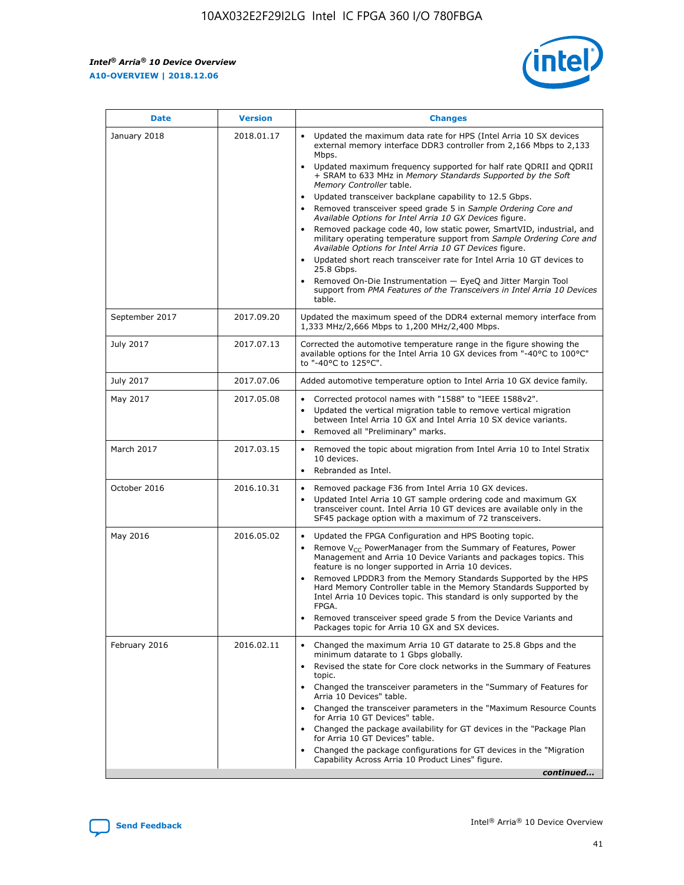

| <b>Date</b>    | <b>Version</b> | <b>Changes</b>                                                                                                                                                                                                                                                                                                                                                                                                                                                                                                                                                                                                                                                                                                                                                                                                                                                                                                                                                                         |
|----------------|----------------|----------------------------------------------------------------------------------------------------------------------------------------------------------------------------------------------------------------------------------------------------------------------------------------------------------------------------------------------------------------------------------------------------------------------------------------------------------------------------------------------------------------------------------------------------------------------------------------------------------------------------------------------------------------------------------------------------------------------------------------------------------------------------------------------------------------------------------------------------------------------------------------------------------------------------------------------------------------------------------------|
| January 2018   | 2018.01.17     | Updated the maximum data rate for HPS (Intel Arria 10 SX devices<br>external memory interface DDR3 controller from 2,166 Mbps to 2,133<br>Mbps.<br>Updated maximum frequency supported for half rate QDRII and QDRII<br>+ SRAM to 633 MHz in Memory Standards Supported by the Soft<br>Memory Controller table.<br>Updated transceiver backplane capability to 12.5 Gbps.<br>$\bullet$<br>Removed transceiver speed grade 5 in Sample Ordering Core and<br>$\bullet$<br>Available Options for Intel Arria 10 GX Devices figure.<br>Removed package code 40, low static power, SmartVID, industrial, and<br>military operating temperature support from Sample Ordering Core and<br>Available Options for Intel Arria 10 GT Devices figure.<br>Updated short reach transceiver rate for Intel Arria 10 GT devices to<br>25.8 Gbps.<br>Removed On-Die Instrumentation - EyeQ and Jitter Margin Tool<br>support from PMA Features of the Transceivers in Intel Arria 10 Devices<br>table. |
| September 2017 | 2017.09.20     | Updated the maximum speed of the DDR4 external memory interface from<br>1,333 MHz/2,666 Mbps to 1,200 MHz/2,400 Mbps.                                                                                                                                                                                                                                                                                                                                                                                                                                                                                                                                                                                                                                                                                                                                                                                                                                                                  |
| July 2017      | 2017.07.13     | Corrected the automotive temperature range in the figure showing the<br>available options for the Intel Arria 10 GX devices from "-40°C to 100°C"<br>to "-40°C to 125°C".                                                                                                                                                                                                                                                                                                                                                                                                                                                                                                                                                                                                                                                                                                                                                                                                              |
| July 2017      | 2017.07.06     | Added automotive temperature option to Intel Arria 10 GX device family.                                                                                                                                                                                                                                                                                                                                                                                                                                                                                                                                                                                                                                                                                                                                                                                                                                                                                                                |
| May 2017       | 2017.05.08     | Corrected protocol names with "1588" to "IEEE 1588v2".<br>$\bullet$<br>Updated the vertical migration table to remove vertical migration<br>$\bullet$<br>between Intel Arria 10 GX and Intel Arria 10 SX device variants.<br>Removed all "Preliminary" marks.<br>$\bullet$                                                                                                                                                                                                                                                                                                                                                                                                                                                                                                                                                                                                                                                                                                             |
| March 2017     | 2017.03.15     | Removed the topic about migration from Intel Arria 10 to Intel Stratix<br>$\bullet$<br>10 devices.<br>Rebranded as Intel.<br>$\bullet$                                                                                                                                                                                                                                                                                                                                                                                                                                                                                                                                                                                                                                                                                                                                                                                                                                                 |
| October 2016   | 2016.10.31     | Removed package F36 from Intel Arria 10 GX devices.<br>Updated Intel Arria 10 GT sample ordering code and maximum GX<br>$\bullet$<br>transceiver count. Intel Arria 10 GT devices are available only in the<br>SF45 package option with a maximum of 72 transceivers.                                                                                                                                                                                                                                                                                                                                                                                                                                                                                                                                                                                                                                                                                                                  |
| May 2016       | 2016.05.02     | Updated the FPGA Configuration and HPS Booting topic.<br>$\bullet$<br>Remove V <sub>CC</sub> PowerManager from the Summary of Features, Power<br>Management and Arria 10 Device Variants and packages topics. This<br>feature is no longer supported in Arria 10 devices.<br>Removed LPDDR3 from the Memory Standards Supported by the HPS<br>Hard Memory Controller table in the Memory Standards Supported by<br>Intel Arria 10 Devices topic. This standard is only supported by the<br>FPGA.<br>Removed transceiver speed grade 5 from the Device Variants and<br>Packages topic for Arria 10 GX and SX devices.                                                                                                                                                                                                                                                                                                                                                                   |
| February 2016  | 2016.02.11     | Changed the maximum Arria 10 GT datarate to 25.8 Gbps and the<br>minimum datarate to 1 Gbps globally.<br>Revised the state for Core clock networks in the Summary of Features<br>$\bullet$<br>topic.<br>• Changed the transceiver parameters in the "Summary of Features for<br>Arria 10 Devices" table.<br>• Changed the transceiver parameters in the "Maximum Resource Counts<br>for Arria 10 GT Devices" table.<br>Changed the package availability for GT devices in the "Package Plan<br>for Arria 10 GT Devices" table.<br>Changed the package configurations for GT devices in the "Migration"<br>Capability Across Arria 10 Product Lines" figure.<br>continued                                                                                                                                                                                                                                                                                                               |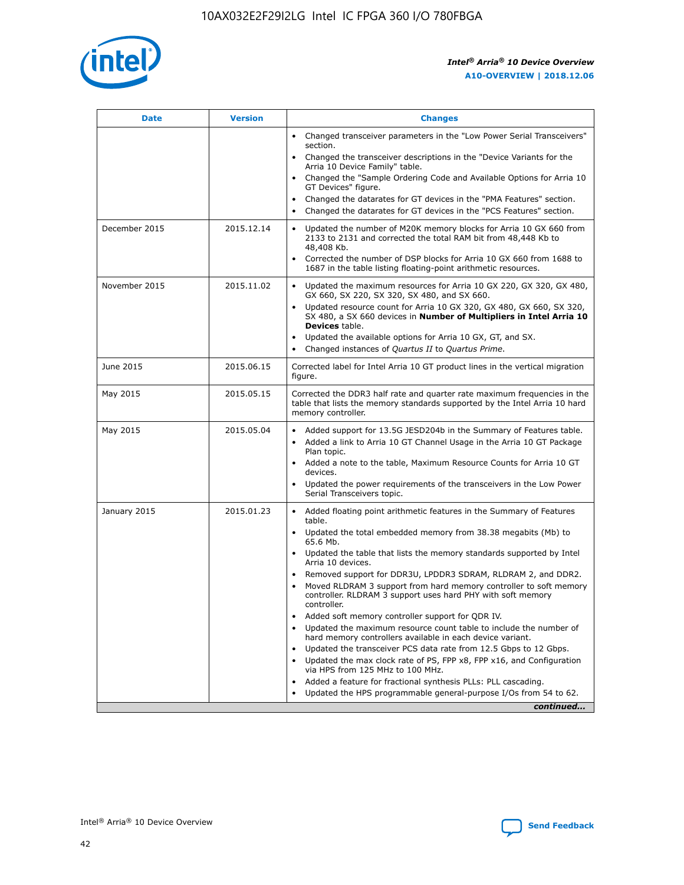

| <b>Date</b>   | <b>Version</b> | <b>Changes</b>                                                                                                                                                               |
|---------------|----------------|------------------------------------------------------------------------------------------------------------------------------------------------------------------------------|
|               |                | • Changed transceiver parameters in the "Low Power Serial Transceivers"<br>section.                                                                                          |
|               |                | • Changed the transceiver descriptions in the "Device Variants for the<br>Arria 10 Device Family" table.                                                                     |
|               |                | Changed the "Sample Ordering Code and Available Options for Arria 10<br>$\bullet$<br>GT Devices" figure.                                                                     |
|               |                | Changed the datarates for GT devices in the "PMA Features" section.                                                                                                          |
|               |                | Changed the datarates for GT devices in the "PCS Features" section.<br>$\bullet$                                                                                             |
| December 2015 | 2015.12.14     | Updated the number of M20K memory blocks for Arria 10 GX 660 from<br>2133 to 2131 and corrected the total RAM bit from 48,448 Kb to<br>48,408 Kb.                            |
|               |                | Corrected the number of DSP blocks for Arria 10 GX 660 from 1688 to<br>1687 in the table listing floating-point arithmetic resources.                                        |
| November 2015 | 2015.11.02     | Updated the maximum resources for Arria 10 GX 220, GX 320, GX 480,<br>$\bullet$<br>GX 660, SX 220, SX 320, SX 480, and SX 660.                                               |
|               |                | • Updated resource count for Arria 10 GX 320, GX 480, GX 660, SX 320,<br>SX 480, a SX 660 devices in Number of Multipliers in Intel Arria 10<br><b>Devices</b> table.        |
|               |                | Updated the available options for Arria 10 GX, GT, and SX.                                                                                                                   |
|               |                | Changed instances of Quartus II to Quartus Prime.<br>$\bullet$                                                                                                               |
| June 2015     | 2015.06.15     | Corrected label for Intel Arria 10 GT product lines in the vertical migration<br>figure.                                                                                     |
| May 2015      | 2015.05.15     | Corrected the DDR3 half rate and quarter rate maximum frequencies in the<br>table that lists the memory standards supported by the Intel Arria 10 hard<br>memory controller. |
| May 2015      | 2015.05.04     | • Added support for 13.5G JESD204b in the Summary of Features table.                                                                                                         |
|               |                | • Added a link to Arria 10 GT Channel Usage in the Arria 10 GT Package<br>Plan topic.                                                                                        |
|               |                | • Added a note to the table, Maximum Resource Counts for Arria 10 GT<br>devices.                                                                                             |
|               |                | • Updated the power requirements of the transceivers in the Low Power<br>Serial Transceivers topic.                                                                          |
| January 2015  | 2015.01.23     | • Added floating point arithmetic features in the Summary of Features<br>table.                                                                                              |
|               |                | • Updated the total embedded memory from 38.38 megabits (Mb) to<br>65.6 Mb.                                                                                                  |
|               |                | • Updated the table that lists the memory standards supported by Intel<br>Arria 10 devices.                                                                                  |
|               |                | Removed support for DDR3U, LPDDR3 SDRAM, RLDRAM 2, and DDR2.                                                                                                                 |
|               |                | Moved RLDRAM 3 support from hard memory controller to soft memory<br>controller. RLDRAM 3 support uses hard PHY with soft memory<br>controller.                              |
|               |                | Added soft memory controller support for QDR IV.<br>٠                                                                                                                        |
|               |                | Updated the maximum resource count table to include the number of<br>hard memory controllers available in each device variant.                                               |
|               |                | Updated the transceiver PCS data rate from 12.5 Gbps to 12 Gbps.<br>$\bullet$                                                                                                |
|               |                | Updated the max clock rate of PS, FPP x8, FPP x16, and Configuration<br>via HPS from 125 MHz to 100 MHz.                                                                     |
|               |                | Added a feature for fractional synthesis PLLs: PLL cascading.                                                                                                                |
|               |                | Updated the HPS programmable general-purpose I/Os from 54 to 62.<br>$\bullet$                                                                                                |
|               |                | continued                                                                                                                                                                    |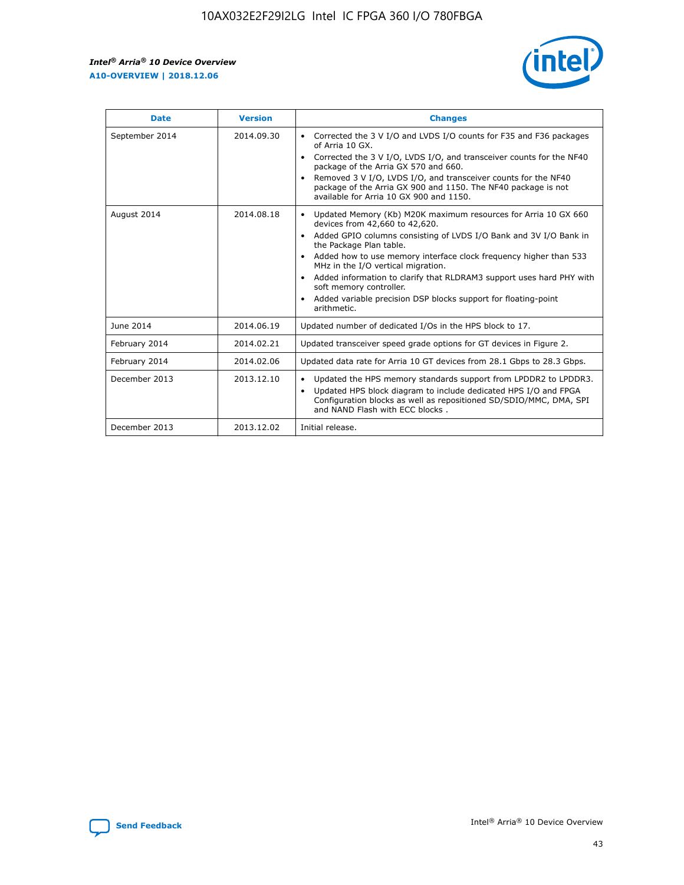r



| <b>Date</b>    | <b>Version</b> | <b>Changes</b>                                                                                                                                                                                                                                                                                                                                                                                                                                                                                                                         |
|----------------|----------------|----------------------------------------------------------------------------------------------------------------------------------------------------------------------------------------------------------------------------------------------------------------------------------------------------------------------------------------------------------------------------------------------------------------------------------------------------------------------------------------------------------------------------------------|
| September 2014 | 2014.09.30     | Corrected the 3 V I/O and LVDS I/O counts for F35 and F36 packages<br>of Arria 10 GX.<br>Corrected the 3 V I/O, LVDS I/O, and transceiver counts for the NF40<br>$\bullet$<br>package of the Arria GX 570 and 660.<br>Removed 3 V I/O, LVDS I/O, and transceiver counts for the NF40<br>package of the Arria GX 900 and 1150. The NF40 package is not<br>available for Arria 10 GX 900 and 1150.                                                                                                                                       |
| August 2014    | 2014.08.18     | Updated Memory (Kb) M20K maximum resources for Arria 10 GX 660<br>devices from 42,660 to 42,620.<br>Added GPIO columns consisting of LVDS I/O Bank and 3V I/O Bank in<br>$\bullet$<br>the Package Plan table.<br>Added how to use memory interface clock frequency higher than 533<br>$\bullet$<br>MHz in the I/O vertical migration.<br>Added information to clarify that RLDRAM3 support uses hard PHY with<br>$\bullet$<br>soft memory controller.<br>Added variable precision DSP blocks support for floating-point<br>arithmetic. |
| June 2014      | 2014.06.19     | Updated number of dedicated I/Os in the HPS block to 17.                                                                                                                                                                                                                                                                                                                                                                                                                                                                               |
| February 2014  | 2014.02.21     | Updated transceiver speed grade options for GT devices in Figure 2.                                                                                                                                                                                                                                                                                                                                                                                                                                                                    |
| February 2014  | 2014.02.06     | Updated data rate for Arria 10 GT devices from 28.1 Gbps to 28.3 Gbps.                                                                                                                                                                                                                                                                                                                                                                                                                                                                 |
| December 2013  | 2013.12.10     | Updated the HPS memory standards support from LPDDR2 to LPDDR3.<br>Updated HPS block diagram to include dedicated HPS I/O and FPGA<br>$\bullet$<br>Configuration blocks as well as repositioned SD/SDIO/MMC, DMA, SPI<br>and NAND Flash with ECC blocks.                                                                                                                                                                                                                                                                               |
| December 2013  | 2013.12.02     | Initial release.                                                                                                                                                                                                                                                                                                                                                                                                                                                                                                                       |